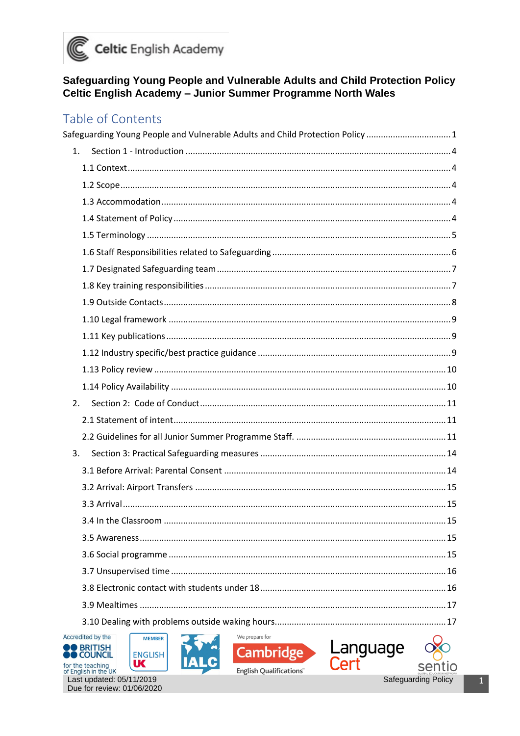

#### <span id="page-0-0"></span>Safeguarding Young People and Vulnerable Adults and Child Protection Policy Celtic English Academy - Junior Summer Programme North Wales

#### Table of Contents

| Safeguarding Young People and Vulnerable Adults and Child Protection Policy  1                                                                                |     |
|---------------------------------------------------------------------------------------------------------------------------------------------------------------|-----|
| 1.                                                                                                                                                            |     |
|                                                                                                                                                               |     |
|                                                                                                                                                               |     |
|                                                                                                                                                               |     |
|                                                                                                                                                               |     |
|                                                                                                                                                               |     |
|                                                                                                                                                               |     |
|                                                                                                                                                               |     |
|                                                                                                                                                               |     |
|                                                                                                                                                               |     |
|                                                                                                                                                               |     |
|                                                                                                                                                               |     |
|                                                                                                                                                               |     |
|                                                                                                                                                               |     |
|                                                                                                                                                               |     |
| 2.                                                                                                                                                            |     |
|                                                                                                                                                               |     |
|                                                                                                                                                               |     |
| 3.                                                                                                                                                            |     |
|                                                                                                                                                               |     |
|                                                                                                                                                               |     |
|                                                                                                                                                               |     |
|                                                                                                                                                               | .15 |
|                                                                                                                                                               |     |
|                                                                                                                                                               |     |
|                                                                                                                                                               |     |
|                                                                                                                                                               |     |
|                                                                                                                                                               |     |
|                                                                                                                                                               |     |
| Accredited by the<br>We prepare for<br><b>MEMBER</b><br>Language<br><b>BRITISH</b><br>Cambridge<br><b>ENGLISH</b><br><b>COUNCIL</b><br>UC<br>for the teaching |     |





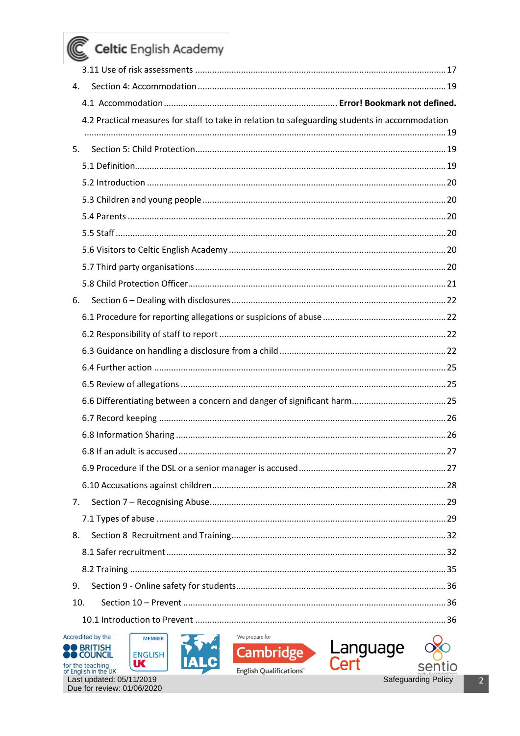| 4.                                                                                             |    |
|------------------------------------------------------------------------------------------------|----|
|                                                                                                |    |
| 4.2 Practical measures for staff to take in relation to safeguarding students in accommodation |    |
|                                                                                                |    |
| 5.                                                                                             |    |
|                                                                                                |    |
|                                                                                                |    |
|                                                                                                |    |
|                                                                                                |    |
|                                                                                                |    |
|                                                                                                |    |
|                                                                                                |    |
| 6.                                                                                             |    |
|                                                                                                |    |
|                                                                                                |    |
|                                                                                                |    |
|                                                                                                |    |
|                                                                                                |    |
|                                                                                                |    |
|                                                                                                |    |
|                                                                                                |    |
| 6.8 If an adult is accused                                                                     | 27 |
|                                                                                                |    |
|                                                                                                |    |
| 7 <sub>1</sub>                                                                                 |    |
|                                                                                                |    |
| 8.                                                                                             |    |
|                                                                                                |    |
|                                                                                                |    |
| 9.                                                                                             |    |
| 10.                                                                                            |    |
|                                                                                                |    |
| Accredited by the<br>We prepare for<br><b>MEMBER</b>                                           |    |
| Language<br><b>BRITISH</b><br><b>Cambridge</b><br><b>ENGLISH</b>                               |    |







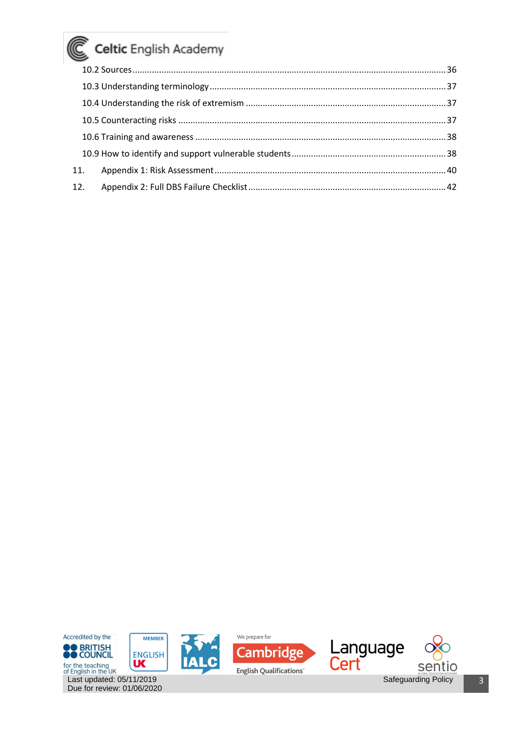| 11. |  |
|-----|--|
| 12. |  |

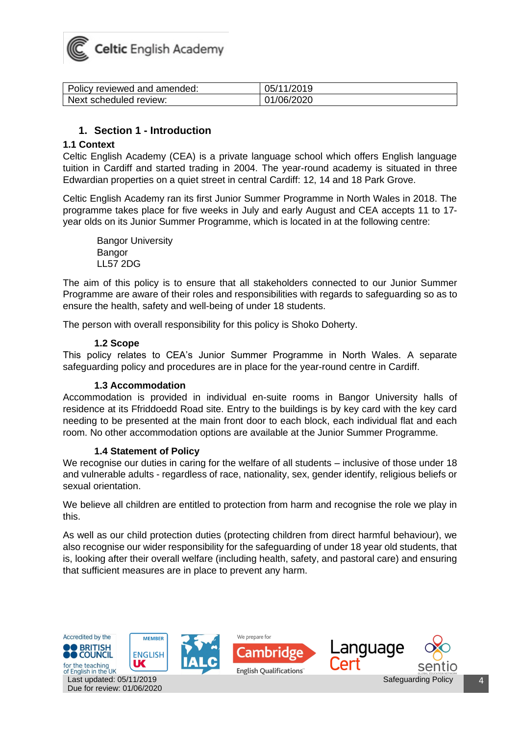

| Policy reviewed and amended: | 05/11/2019 |
|------------------------------|------------|
| Next scheduled review:       | 01/06/2020 |

#### **1. Section 1 - Introduction**

#### <span id="page-3-1"></span><span id="page-3-0"></span>**1.1 Context**

Celtic English Academy (CEA) is a private language school which offers English language tuition in Cardiff and started trading in 2004. The year-round academy is situated in three Edwardian properties on a quiet street in central Cardiff: 12, 14 and 18 Park Grove.

Celtic English Academy ran its first Junior Summer Programme in North Wales in 2018. The programme takes place for five weeks in July and early August and CEA accepts 11 to 17 year olds on its Junior Summer Programme, which is located in at the following centre:

Bangor University Bangor LL57 2DG

The aim of this policy is to ensure that all stakeholders connected to our Junior Summer Programme are aware of their roles and responsibilities with regards to safeguarding so as to ensure the health, safety and well-being of under 18 students.

The person with overall responsibility for this policy is Shoko Doherty.

#### **1.2 Scope**

<span id="page-3-2"></span>This policy relates to CEA's Junior Summer Programme in North Wales. A separate safeguarding policy and procedures are in place for the year-round centre in Cardiff.

#### **1.3 Accommodation**

<span id="page-3-3"></span>Accommodation is provided in individual en-suite rooms in Bangor University halls of residence at its Ffriddoedd Road site. Entry to the buildings is by key card with the key card needing to be presented at the main front door to each block, each individual flat and each room. No other accommodation options are available at the Junior Summer Programme.

#### **1.4 Statement of Policy**

<span id="page-3-4"></span>We recognise our duties in caring for the welfare of all students – inclusive of those under 18 and vulnerable adults - regardless of race, nationality, sex, gender identify, religious beliefs or sexual orientation.

We believe all children are entitled to protection from harm and recognise the role we play in this.

As well as our child protection duties (protecting children from direct harmful behaviour), we also recognise our wider responsibility for the safeguarding of under 18 year old students, that is, looking after their overall welfare (including health, safety, and pastoral care) and ensuring that sufficient measures are in place to prevent any harm.

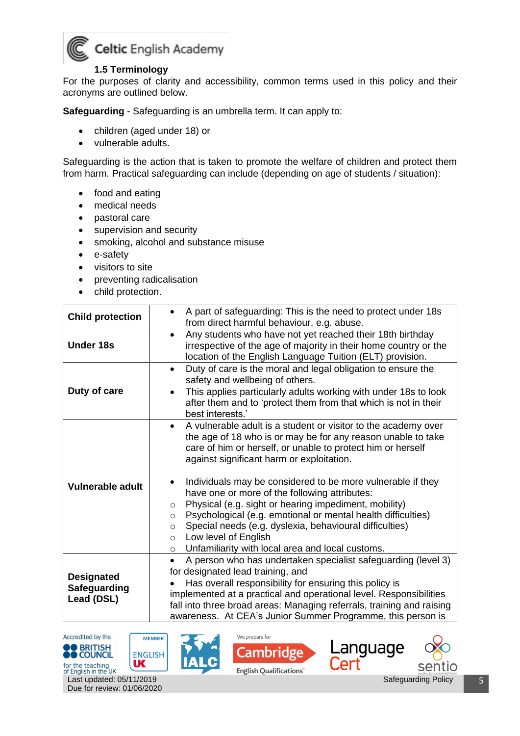

#### **1.5 Terminology**

<span id="page-4-0"></span>For the purposes of clarity and accessibility, common terms used in this policy and their acronyms are outlined below.

**Safeguarding** - Safeguarding is an umbrella term. It can apply to:

- children (aged under 18) or
- vulnerable adults.

Safeguarding is the action that is taken to promote the welfare of children and protect them from harm. Practical safeguarding can include (depending on age of students / situation):

- food and eating
- medical needs
- pastoral care
- supervision and security
- smoking, alcohol and substance misuse
- e-safety
- visitors to site
- preventing radicalisation
- child protection.

| <b>Child protection</b>                                                                                                                                                                                                                                                                | A part of safeguarding: This is the need to protect under 18s<br>from direct harmful behaviour, e.g. abuse.                                                                                                                                                                                                                                                                                                                                                                                               |  |  |  |
|----------------------------------------------------------------------------------------------------------------------------------------------------------------------------------------------------------------------------------------------------------------------------------------|-----------------------------------------------------------------------------------------------------------------------------------------------------------------------------------------------------------------------------------------------------------------------------------------------------------------------------------------------------------------------------------------------------------------------------------------------------------------------------------------------------------|--|--|--|
| <b>Under 18s</b>                                                                                                                                                                                                                                                                       | Any students who have not yet reached their 18th birthday<br>$\bullet$<br>irrespective of the age of majority in their home country or the<br>location of the English Language Tuition (ELT) provision.                                                                                                                                                                                                                                                                                                   |  |  |  |
| Duty of care is the moral and legal obligation to ensure the<br>$\bullet$<br>safety and wellbeing of others.<br>Duty of care<br>This applies particularly adults working with under 18s to look<br>after them and to 'protect them from that which is not in their<br>best interests.' |                                                                                                                                                                                                                                                                                                                                                                                                                                                                                                           |  |  |  |
| <b>Vulnerable adult</b>                                                                                                                                                                                                                                                                | A vulnerable adult is a student or visitor to the academy over<br>the age of 18 who is or may be for any reason unable to take<br>care of him or herself, or unable to protect him or herself<br>against significant harm or exploitation.<br>Individuals may be considered to be more vulnerable if they<br>have one or more of the following attributes:<br>Physical (e.g. sight or hearing impediment, mobility)<br>$\circ$<br>Psychological (e.g. emotional or mental health difficulties)<br>$\circ$ |  |  |  |
|                                                                                                                                                                                                                                                                                        | Special needs (e.g. dyslexia, behavioural difficulties)<br>$\circ$<br>Low level of English<br>$\circ$<br>Unfamiliarity with local area and local customs.<br>$\circ$                                                                                                                                                                                                                                                                                                                                      |  |  |  |
| <b>Designated</b><br>Safeguarding<br>Lead (DSL)                                                                                                                                                                                                                                        | A person who has undertaken specialist safeguarding (level 3)<br>for designated lead training, and<br>Has overall responsibility for ensuring this policy is<br>implemented at a practical and operational level. Responsibilities<br>fall into three broad areas: Managing referrals, training and raising<br>awareness. At CEA's Junior Summer Programme, this person is                                                                                                                                |  |  |  |









Safeguarding Policy | 5

for the teaching<br>of English in the UK<br>Last updated:  $05/11/2019$ Due for review: 01/06/2020

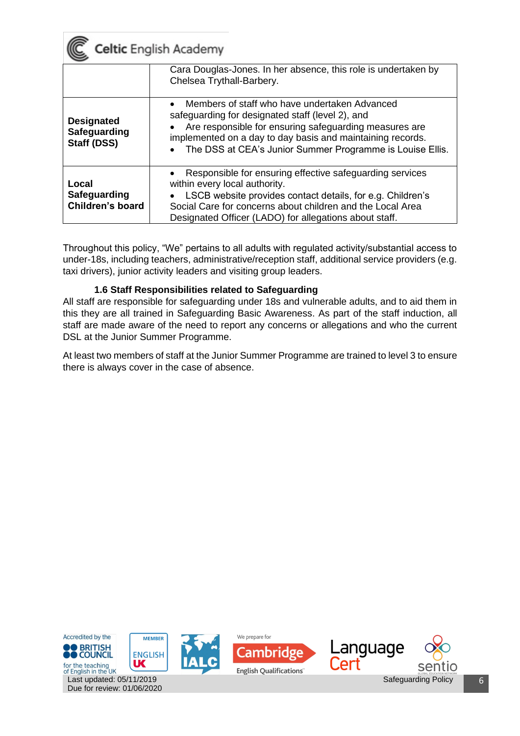

|                                                                                                                                                                                                                                                                                                                                            | Cara Douglas-Jones. In her absence, this role is undertaken by<br>Chelsea Trythall-Barbery.                                                                                                                                                                                                  |
|--------------------------------------------------------------------------------------------------------------------------------------------------------------------------------------------------------------------------------------------------------------------------------------------------------------------------------------------|----------------------------------------------------------------------------------------------------------------------------------------------------------------------------------------------------------------------------------------------------------------------------------------------|
| Members of staff who have undertaken Advanced<br>safeguarding for designated staff (level 2), and<br><b>Designated</b><br>Are responsible for ensuring safeguarding measures are<br>Safeguarding<br>implemented on a day to day basis and maintaining records.<br>Staff (DSS)<br>The DSS at CEA's Junior Summer Programme is Louise Ellis. |                                                                                                                                                                                                                                                                                              |
| Local<br><b>Safeguarding</b><br>Children's board                                                                                                                                                                                                                                                                                           | Responsible for ensuring effective safeguarding services<br>$\bullet$<br>within every local authority.<br>LSCB website provides contact details, for e.g. Children's<br>Social Care for concerns about children and the Local Area<br>Designated Officer (LADO) for allegations about staff. |

Throughout this policy, "We" pertains to all adults with regulated activity/substantial access to under-18s, including teachers, administrative/reception staff, additional service providers (e.g. taxi drivers), junior activity leaders and visiting group leaders.

#### **1.6 Staff Responsibilities related to Safeguarding**

<span id="page-5-0"></span>All staff are responsible for safeguarding under 18s and vulnerable adults, and to aid them in this they are all trained in Safeguarding Basic Awareness. As part of the staff induction, all staff are made aware of the need to report any concerns or allegations and who the current DSL at the Junior Summer Programme.

At least two members of staff at the Junior Summer Programme are trained to level 3 to ensure there is always cover in the case of absence.

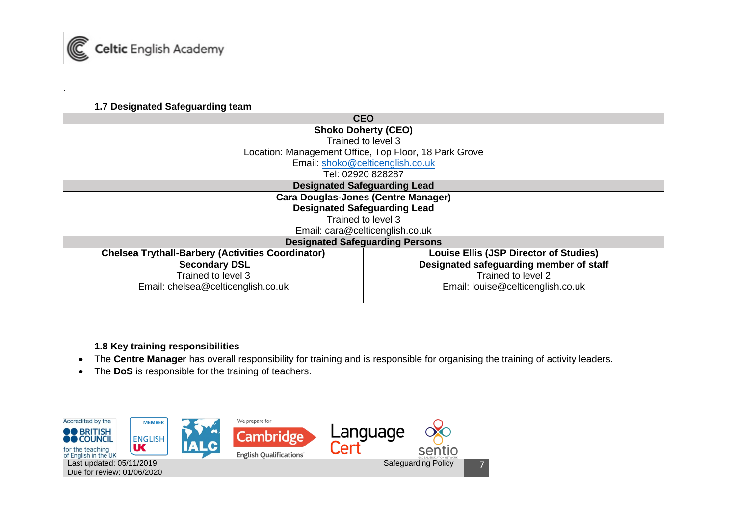

.

#### **1.7 Designated Safeguarding team**

| <b>CEO</b>                                               |                                                       |  |
|----------------------------------------------------------|-------------------------------------------------------|--|
|                                                          | <b>Shoko Doherty (CEO)</b>                            |  |
|                                                          | Trained to level 3                                    |  |
|                                                          | Location: Management Office, Top Floor, 18 Park Grove |  |
|                                                          | Email: shoko@celticenglish.co.uk                      |  |
|                                                          | Tel: 02920 828287                                     |  |
|                                                          | <b>Designated Safeguarding Lead</b>                   |  |
| <b>Cara Douglas-Jones (Centre Manager)</b>               |                                                       |  |
|                                                          | <b>Designated Safeguarding Lead</b>                   |  |
| Trained to level 3                                       |                                                       |  |
|                                                          | Email: cara@celticenglish.co.uk                       |  |
|                                                          | <b>Designated Safeguarding Persons</b>                |  |
| <b>Chelsea Trythall-Barbery (Activities Coordinator)</b> | <b>Louise Ellis (JSP Director of Studies)</b>         |  |
| <b>Secondary DSL</b>                                     | Designated safeguarding member of staff               |  |
| Trained to level 3                                       | Trained to level 2                                    |  |
| Email: chelsea@celticenglish.co.uk                       | Email: louise@celticenglish.co.uk                     |  |
|                                                          |                                                       |  |

**1.8 Key training responsibilities**

- <span id="page-6-0"></span>• The **Centre Manager** has overall responsibility for training and is responsible for organising the training of activity leaders.
- The **DoS** is responsible for the training of teachers.

<span id="page-6-1"></span>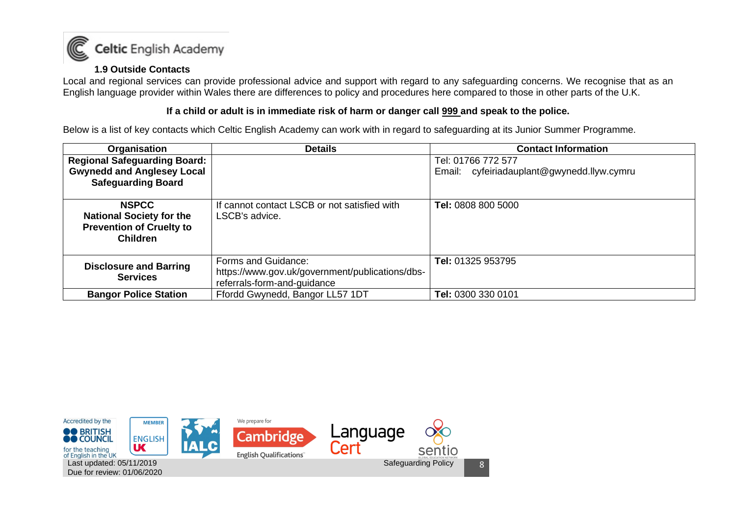

#### **1.9 Outside Contacts**

Local and regional services can provide professional advice and support with regard to any safeguarding concerns. We recognise that as an English language provider within Wales there are differences to policy and procedures here compared to those in other parts of the U.K.

#### **If a child or adult is in immediate risk of harm or danger call 999 and speak to the police.**

Below is a list of key contacts which Celtic English Academy can work with in regard to safeguarding at its Junior Summer Programme.

| Organisation                                                                                          | <b>Details</b>                                                                                        | <b>Contact Information</b>                                       |
|-------------------------------------------------------------------------------------------------------|-------------------------------------------------------------------------------------------------------|------------------------------------------------------------------|
| <b>Regional Safeguarding Board:</b><br><b>Gwynedd and Anglesey Local</b>                              |                                                                                                       | Tel: 01766 772 577<br>Email: cyfeiriadauplant@gwynedd.llyw.cymru |
| <b>Safeguarding Board</b>                                                                             |                                                                                                       |                                                                  |
| <b>NSPCC</b><br><b>National Society for the</b><br><b>Prevention of Cruelty to</b><br><b>Children</b> | If cannot contact LSCB or not satisfied with<br>LSCB's advice.                                        | Tel: 0808 800 5000                                               |
| <b>Disclosure and Barring</b><br><b>Services</b>                                                      | Forms and Guidance:<br>https://www.gov.uk/government/publications/dbs-<br>referrals-form-and-guidance | Tel: 01325 953795                                                |
| <b>Bangor Police Station</b>                                                                          | Ffordd Gwynedd, Bangor LL57 1DT                                                                       | Tel: 0300 330 0101                                               |

<span id="page-7-0"></span>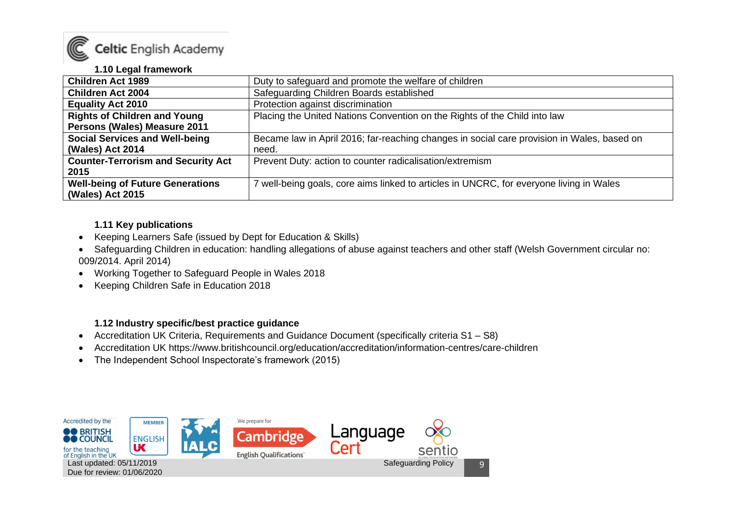

#### **1.10 Legal framework**

| <b>Children Act 1989</b>                  | Duty to safeguard and promote the welfare of children                                      |  |  |
|-------------------------------------------|--------------------------------------------------------------------------------------------|--|--|
| <b>Children Act 2004</b>                  | Safeguarding Children Boards established                                                   |  |  |
| <b>Equality Act 2010</b>                  | Protection against discrimination                                                          |  |  |
| <b>Rights of Children and Young</b>       | Placing the United Nations Convention on the Rights of the Child into law                  |  |  |
| Persons (Wales) Measure 2011              |                                                                                            |  |  |
| <b>Social Services and Well-being</b>     | Became law in April 2016; far-reaching changes in social care provision in Wales, based on |  |  |
| (Wales) Act 2014                          | need.                                                                                      |  |  |
| <b>Counter-Terrorism and Security Act</b> | Prevent Duty: action to counter radicalisation/extremism                                   |  |  |
| 2015                                      |                                                                                            |  |  |
| <b>Well-being of Future Generations</b>   | well-being goals, core aims linked to articles in UNCRC, for everyone living in Wales      |  |  |
| (Wales) Act 2015                          |                                                                                            |  |  |

#### **1.11 Key publications**

- Keeping Learners Safe (issued by Dept for Education & Skills)
- Safeguarding Children in education: handling allegations of abuse against teachers and other staff (Welsh Government circular no: 009/2014. April 2014)
- Working Together to Safeguard People in Wales 2018
- <span id="page-8-0"></span>• Keeping Children Safe in Education 2018

#### **1.12 Industry specific/best practice guidance**

- Accreditation UK Criteria, Requirements and Guidance Document (specifically criteria S1 S8)
- Accreditation UK https://www.britishcouncil.org/education/accreditation/information-centres/care-children
- The Independent School Inspectorate's framework (2015)

<span id="page-8-2"></span><span id="page-8-1"></span>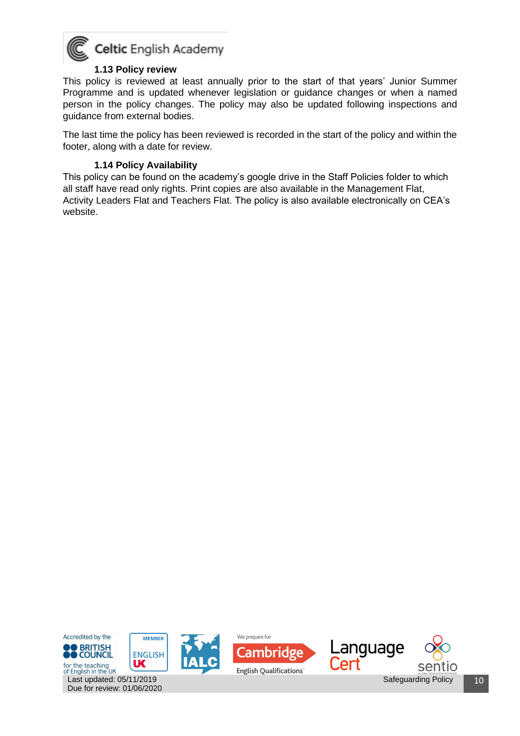

#### **1.13 Policy review**

<span id="page-9-0"></span>This policy is reviewed at least annually prior to the start of that years' Junior Summer Programme and is updated whenever legislation or guidance changes or when a named person in the policy changes. The policy may also be updated following inspections and guidance from external bodies.

The last time the policy has been reviewed is recorded in the start of the policy and within the footer, along with a date for review.

#### **1.14 Policy Availability**

Due for review: 01/06/2020

<span id="page-9-1"></span>This policy can be found on the academy's google drive in the Staff Policies folder to which all staff have read only rights. Print copies are also available in the Management Flat, Activity Leaders Flat and Teachers Flat. The policy is also available electronically on CEA's website.

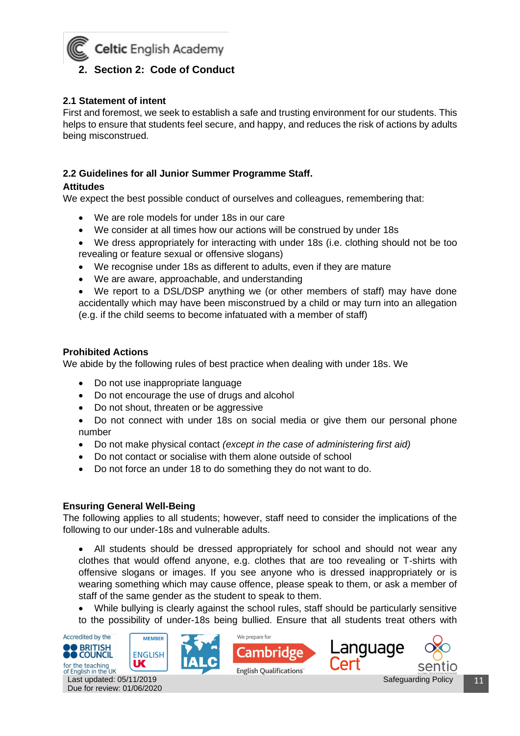<span id="page-10-0"></span>

#### <span id="page-10-1"></span>**2.1 Statement of intent**

First and foremost, we seek to establish a safe and trusting environment for our students. This helps to ensure that students feel secure, and happy, and reduces the risk of actions by adults being misconstrued.

#### <span id="page-10-2"></span>**2.2 Guidelines for all Junior Summer Programme Staff.**

#### **Attitudes**

We expect the best possible conduct of ourselves and colleagues, remembering that:

- We are role models for under 18s in our care
- We consider at all times how our actions will be construed by under 18s
- We dress appropriately for interacting with under 18s (i.e. clothing should not be too revealing or feature sexual or offensive slogans)
- We recognise under 18s as different to adults, even if they are mature
- We are aware, approachable, and understanding
- We report to a DSL/DSP anything we (or other members of staff) may have done accidentally which may have been misconstrued by a child or may turn into an allegation (e.g. if the child seems to become infatuated with a member of staff)

#### **Prohibited Actions**

We abide by the following rules of best practice when dealing with under 18s. We

- Do not use inappropriate language
- Do not encourage the use of drugs and alcohol
- Do not shout, threaten or be aggressive
- Do not connect with under 18s on social media or give them our personal phone number
- Do not make physical contact *(except in the case of administering first aid)*
- Do not contact or socialise with them alone outside of school
- Do not force an under 18 to do something they do not want to do.

#### **Ensuring General Well-Being**

The following applies to all students; however, staff need to consider the implications of the following to our under-18s and vulnerable adults.

• All students should be dressed appropriately for school and should not wear any clothes that would offend anyone, e.g. clothes that are too revealing or T-shirts with offensive slogans or images. If you see anyone who is dressed inappropriately or is wearing something which may cause offence, please speak to them, or ask a member of staff of the same gender as the student to speak to them.

• While bullying is clearly against the school rules, staff should be particularly sensitive to the possibility of under-18s being bullied. Ensure that all students treat others with







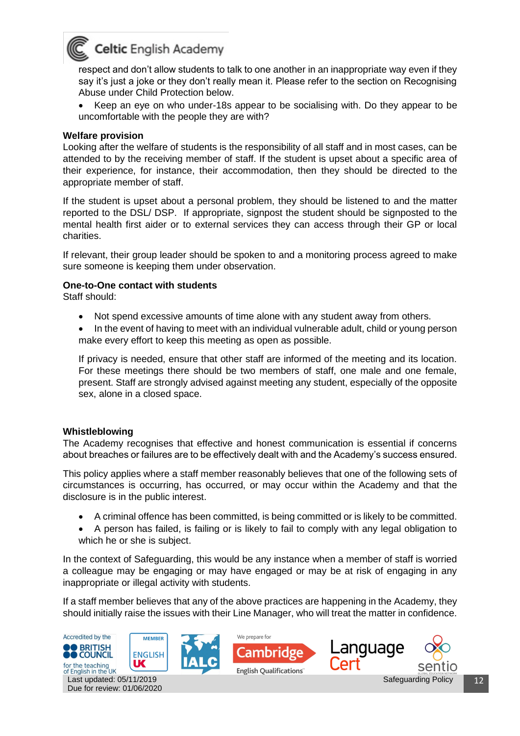

respect and don't allow students to talk to one another in an inappropriate way even if they say it's just a joke or they don't really mean it. Please refer to the section on Recognising Abuse under Child Protection below.

• Keep an eye on who under-18s appear to be socialising with. Do they appear to be uncomfortable with the people they are with?

#### **Welfare provision**

Looking after the welfare of students is the responsibility of all staff and in most cases, can be attended to by the receiving member of staff. If the student is upset about a specific area of their experience, for instance, their accommodation, then they should be directed to the appropriate member of staff.

If the student is upset about a personal problem, they should be listened to and the matter reported to the DSL/ DSP. If appropriate, signpost the student should be signposted to the mental health first aider or to external services they can access through their GP or local charities.

If relevant, their group leader should be spoken to and a monitoring process agreed to make sure someone is keeping them under observation.

#### **One-to-One contact with students**

Staff should:

- Not spend excessive amounts of time alone with any student away from others.
- In the event of having to meet with an individual vulnerable adult, child or young person make every effort to keep this meeting as open as possible.

If privacy is needed, ensure that other staff are informed of the meeting and its location. For these meetings there should be two members of staff, one male and one female, present. Staff are strongly advised against meeting any student, especially of the opposite sex, alone in a closed space.

#### **Whistleblowing**

The Academy recognises that effective and honest communication is essential if concerns about breaches or failures are to be effectively dealt with and the Academy's success ensured.

This policy applies where a staff member reasonably believes that one of the following sets of circumstances is occurring, has occurred, or may occur within the Academy and that the disclosure is in the public interest.

- A criminal offence has been committed, is being committed or is likely to be committed.
- A person has failed, is failing or is likely to fail to comply with any legal obligation to which he or she is subject.

In the context of Safeguarding, this would be any instance when a member of staff is worried a colleague may be engaging or may have engaged or may be at risk of engaging in any inappropriate or illegal activity with students.

If a staff member believes that any of the above practices are happening in the Academy, they should initially raise the issues with their Line Manager, who will treat the matter in confidence.

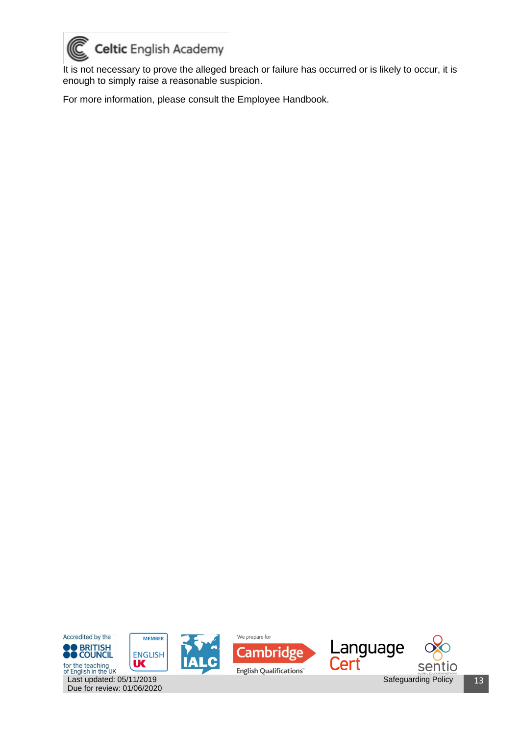

It is not necessary to prove the alleged breach or failure has occurred or is likely to occur, it is enough to simply raise a reasonable suspicion.

For more information, please consult the Employee Handbook.

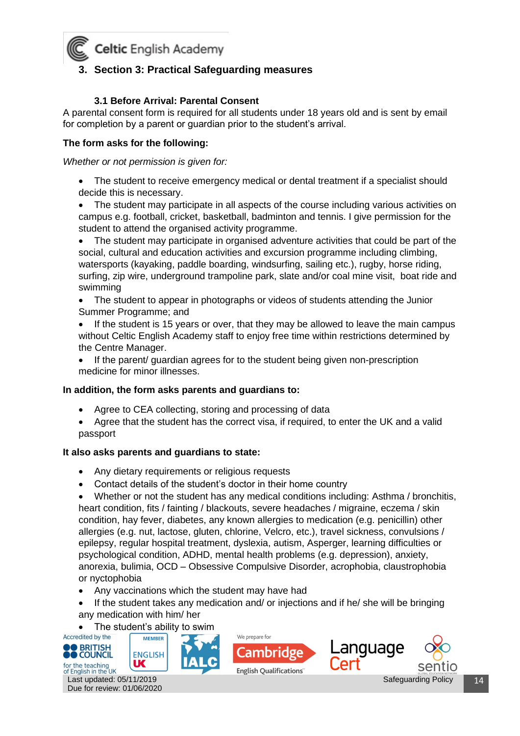

#### <span id="page-13-0"></span>**3. Section 3: Practical Safeguarding measures**

#### **3.1 Before Arrival: Parental Consent**

<span id="page-13-1"></span>A parental consent form is required for all students under 18 years old and is sent by email for completion by a parent or guardian prior to the student's arrival.

#### **The form asks for the following:**

*Whether or not permission is given for:*

The student to receive emergency medical or dental treatment if a specialist should decide this is necessary.

• The student may participate in all aspects of the course including various activities on campus e.g. football, cricket, basketball, badminton and tennis. I give permission for the student to attend the organised activity programme.

• The student may participate in organised adventure activities that could be part of the social, cultural and education activities and excursion programme including climbing, watersports (kayaking, paddle boarding, windsurfing, sailing etc.), rugby, horse riding, surfing, zip wire, underground trampoline park, slate and/or coal mine visit, boat ride and swimming

- The student to appear in photographs or videos of students attending the Junior Summer Programme; and
- If the student is 15 years or over, that they may be allowed to leave the main campus without Celtic English Academy staff to enjoy free time within restrictions determined by the Centre Manager.
- If the parent/ guardian agrees for to the student being given non-prescription medicine for minor illnesses.

#### **In addition, the form asks parents and guardians to:**

- Agree to CEA collecting, storing and processing of data
- Agree that the student has the correct visa, if required, to enter the UK and a valid passport

#### **It also asks parents and guardians to state:**

- Any dietary requirements or religious requests
- Contact details of the student's doctor in their home country

• Whether or not the student has any medical conditions including: Asthma / bronchitis, heart condition, fits / fainting / blackouts, severe headaches / migraine, eczema / skin condition, hay fever, diabetes, any known allergies to medication (e.g. penicillin) other allergies (e.g. nut, lactose, gluten, chlorine, Velcro, etc.), travel sickness, convulsions / epilepsy, regular hospital treatment, dyslexia, autism, Asperger, learning difficulties or psychological condition, ADHD, mental health problems (e.g. depression), anxiety, anorexia, bulimia, OCD – Obsessive Compulsive Disorder, acrophobia, claustrophobia or nyctophobia

- Any vaccinations which the student may have had
- If the student takes any medication and/ or injections and if he/ she will be bringing any medication with him/ her

• The student's ability to swim<br>Accredited by the  $\sqrt{\frac{M_{\text{EMBER}}}{M_{\text{EMBER}}}}$ 







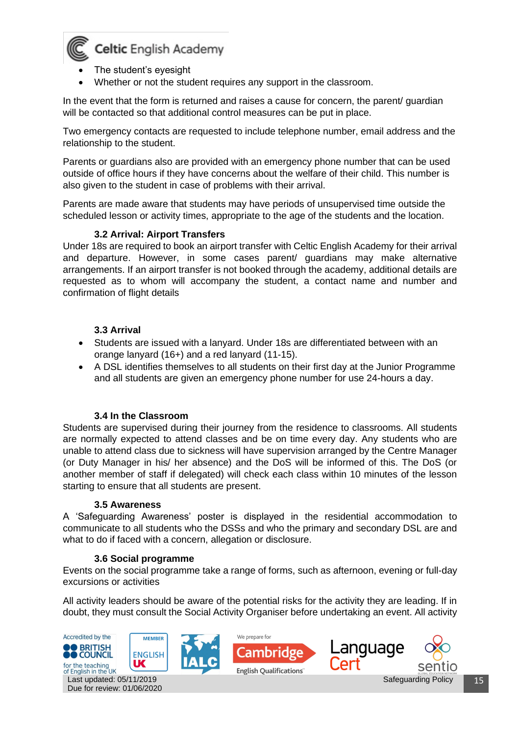

- The student's eyesight
- Whether or not the student requires any support in the classroom.

In the event that the form is returned and raises a cause for concern, the parent/ guardian will be contacted so that additional control measures can be put in place.

Two emergency contacts are requested to include telephone number, email address and the relationship to the student.

Parents or guardians also are provided with an emergency phone number that can be used outside of office hours if they have concerns about the welfare of their child. This number is also given to the student in case of problems with their arrival.

Parents are made aware that students may have periods of unsupervised time outside the scheduled lesson or activity times, appropriate to the age of the students and the location.

#### **3.2 Arrival: Airport Transfers**

<span id="page-14-0"></span>Under 18s are required to book an airport transfer with Celtic English Academy for their arrival and departure. However, in some cases parent/ guardians may make alternative arrangements. If an airport transfer is not booked through the academy, additional details are requested as to whom will accompany the student, a contact name and number and confirmation of flight details

#### **3.3 Arrival**

- <span id="page-14-1"></span>• Students are issued with a lanyard. Under 18s are differentiated between with an orange lanyard (16+) and a red lanyard (11-15).
- A DSL identifies themselves to all students on their first day at the Junior Programme and all students are given an emergency phone number for use 24-hours a day.

#### **3.4 In the Classroom**

<span id="page-14-2"></span>Students are supervised during their journey from the residence to classrooms. All students are normally expected to attend classes and be on time every day. Any students who are unable to attend class due to sickness will have supervision arranged by the Centre Manager (or Duty Manager in his/ her absence) and the DoS will be informed of this. The DoS (or another member of staff if delegated) will check each class within 10 minutes of the lesson starting to ensure that all students are present.

#### **3.5 Awareness**

<span id="page-14-3"></span>A 'Safeguarding Awareness' poster is displayed in the residential accommodation to communicate to all students who the DSSs and who the primary and secondary DSL are and what to do if faced with a concern, allegation or disclosure.

#### **3.6 Social programme**

<span id="page-14-4"></span>Events on the social programme take a range of forms, such as afternoon, evening or full-day excursions or activities

All activity leaders should be aware of the potential risks for the activity they are leading. If in doubt, they must consult the Social Activity Organiser before undertaking an event. All activity

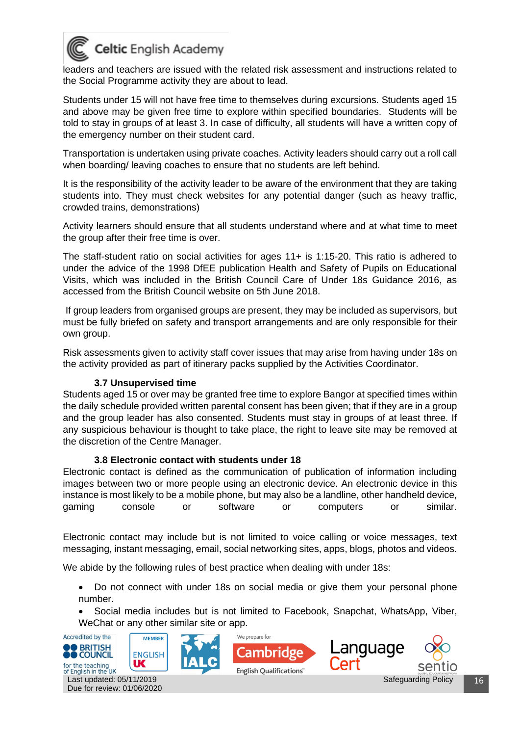

leaders and teachers are issued with the related risk assessment and instructions related to the Social Programme activity they are about to lead.

Students under 15 will not have free time to themselves during excursions. Students aged 15 and above may be given free time to explore within specified boundaries. Students will be told to stay in groups of at least 3. In case of difficulty, all students will have a written copy of the emergency number on their student card.

Transportation is undertaken using private coaches. Activity leaders should carry out a roll call when boarding/ leaving coaches to ensure that no students are left behind.

It is the responsibility of the activity leader to be aware of the environment that they are taking students into. They must check websites for any potential danger (such as heavy traffic, crowded trains, demonstrations)

Activity learners should ensure that all students understand where and at what time to meet the group after their free time is over.

The staff-student ratio on social activities for ages 11+ is 1:15-20. This ratio is adhered to under the advice of the 1998 DfEE publication Health and Safety of Pupils on Educational Visits, which was included in the British Council Care of Under 18s Guidance 2016, as accessed from the British Council website on 5th June 2018.

If group leaders from organised groups are present, they may be included as supervisors, but must be fully briefed on safety and transport arrangements and are only responsible for their own group.

Risk assessments given to activity staff cover issues that may arise from having under 18s on the activity provided as part of itinerary packs supplied by the Activities Coordinator.

#### **3.7 Unsupervised time**

<span id="page-15-0"></span>Students aged 15 or over may be granted free time to explore Bangor at specified times within the daily schedule provided written parental consent has been given; that if they are in a group and the group leader has also consented. Students must stay in groups of at least three. If any suspicious behaviour is thought to take place, the right to leave site may be removed at the discretion of the Centre Manager.

#### **3.8 Electronic contact with students under 18**

<span id="page-15-1"></span>Electronic contact is defined as the communication of publication of information including images between two or more people using an electronic device. An electronic device in this instance is most likely to be a mobile phone, but may also be a landline, other handheld device, gaming console or software or computers or similar.

Electronic contact may include but is not limited to voice calling or voice messages, text messaging, instant messaging, email, social networking sites, apps, blogs, photos and videos.

We abide by the following rules of best practice when dealing with under 18s:

• Do not connect with under 18s on social media or give them your personal phone number.

• Social media includes but is not limited to Facebook, Snapchat, WhatsApp, Viber, WeChat or any other similar site or app.









Safeguarding Policy | 16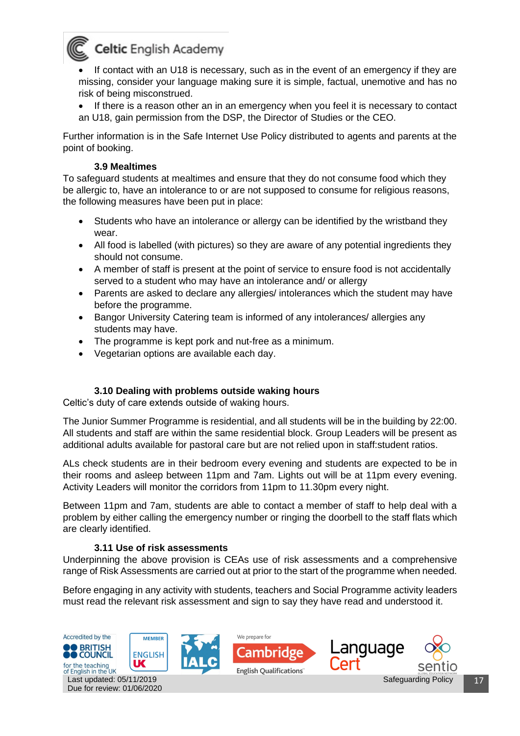

If contact with an U18 is necessary, such as in the event of an emergency if they are missing, consider your language making sure it is simple, factual, unemotive and has no risk of being misconstrued.

• If there is a reason other an in an emergency when you feel it is necessary to contact an U18, gain permission from the DSP, the Director of Studies or the CEO.

Further information is in the Safe Internet Use Policy distributed to agents and parents at the point of booking.

#### **3.9 Mealtimes**

<span id="page-16-0"></span>To safeguard students at mealtimes and ensure that they do not consume food which they be allergic to, have an intolerance to or are not supposed to consume for religious reasons, the following measures have been put in place:

- Students who have an intolerance or allergy can be identified by the wristband they wear.
- All food is labelled (with pictures) so they are aware of any potential ingredients they should not consume.
- A member of staff is present at the point of service to ensure food is not accidentally served to a student who may have an intolerance and/ or allergy
- Parents are asked to declare any allergies/ intolerances which the student may have before the programme.
- Bangor University Catering team is informed of any intolerances/ allergies any students may have.
- The programme is kept pork and nut-free as a minimum.
- Vegetarian options are available each day.

#### **3.10 Dealing with problems outside waking hours**

<span id="page-16-1"></span>Celtic's duty of care extends outside of waking hours.

The Junior Summer Programme is residential, and all students will be in the building by 22:00. All students and staff are within the same residential block. Group Leaders will be present as additional adults available for pastoral care but are not relied upon in staff:student ratios.

ALs check students are in their bedroom every evening and students are expected to be in their rooms and asleep between 11pm and 7am. Lights out will be at 11pm every evening. Activity Leaders will monitor the corridors from 11pm to 11.30pm every night.

Between 11pm and 7am, students are able to contact a member of staff to help deal with a problem by either calling the emergency number or ringing the doorbell to the staff flats which are clearly identified.

#### **3.11 Use of risk assessments**

<span id="page-16-2"></span>Underpinning the above provision is CEAs use of risk assessments and a comprehensive range of Risk Assessments are carried out at prior to the start of the programme when needed.

Before engaging in any activity with students, teachers and Social Programme activity leaders must read the relevant risk assessment and sign to say they have read and understood it.

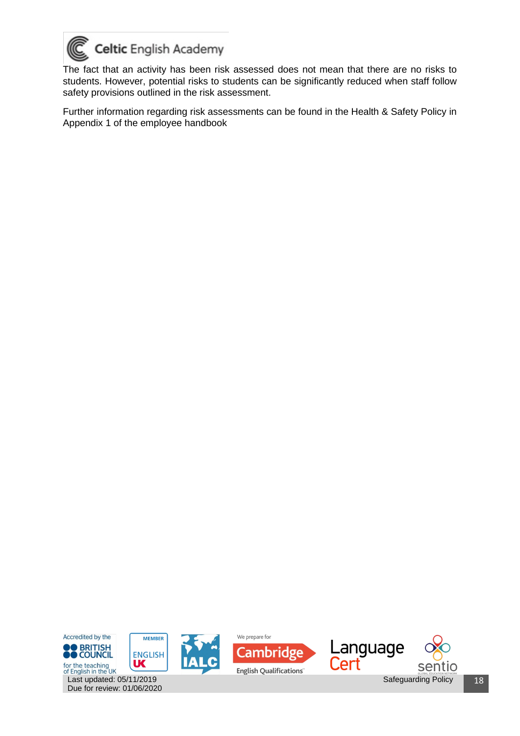

Due for review: 01/06/2020

The fact that an activity has been risk assessed does not mean that there are no risks to students. However, potential risks to students can be significantly reduced when staff follow safety provisions outlined in the risk assessment.

Further information regarding risk assessments can be found in the Health & Safety Policy in Appendix 1 of the employee handbook

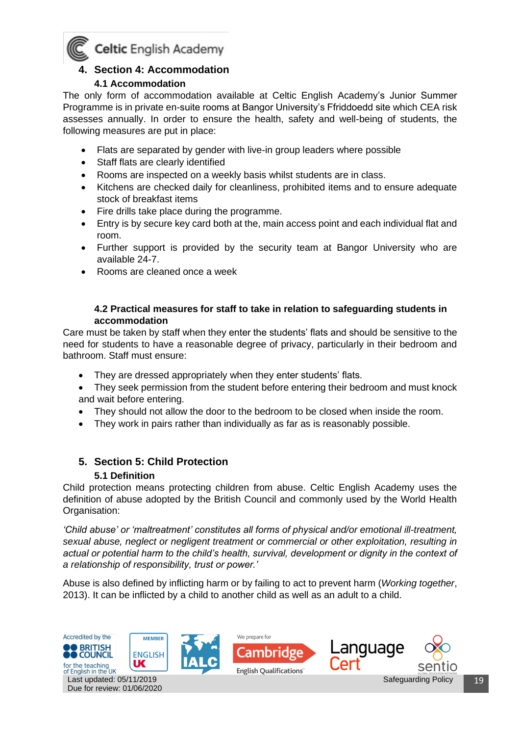

#### <span id="page-18-0"></span>**4. Section 4: Accommodation**

#### **4.1 Accommodation**

The only form of accommodation available at Celtic English Academy's Junior Summer Programme is in private en-suite rooms at Bangor University's Ffriddoedd site which CEA risk assesses annually. In order to ensure the health, safety and well-being of students, the following measures are put in place:

- Flats are separated by gender with live-in group leaders where possible
- Staff flats are clearly identified
- Rooms are inspected on a weekly basis whilst students are in class.
- Kitchens are checked daily for cleanliness, prohibited items and to ensure adequate stock of breakfast items
- Fire drills take place during the programme.
- Entry is by secure key card both at the, main access point and each individual flat and room.
- Further support is provided by the security team at Bangor University who are available 24-7.
- Rooms are cleaned once a week

#### **4.2 Practical measures for staff to take in relation to safeguarding students in accommodation**

<span id="page-18-1"></span>Care must be taken by staff when they enter the students' flats and should be sensitive to the need for students to have a reasonable degree of privacy, particularly in their bedroom and bathroom. Staff must ensure:

- They are dressed appropriately when they enter students' flats.
- They seek permission from the student before entering their bedroom and must knock and wait before entering.
- They should not allow the door to the bedroom to be closed when inside the room.
- They work in pairs rather than individually as far as is reasonably possible.

#### <span id="page-18-2"></span>**5. Section 5: Child Protection**

#### **5.1 Definition**

<span id="page-18-3"></span>Child protection means protecting children from abuse. Celtic English Academy uses the definition of abuse adopted by the British Council and commonly used by the World Health Organisation:

*'Child abuse' or 'maltreatment' constitutes all forms of physical and/or emotional ill-treatment, sexual abuse, neglect or negligent treatment or commercial or other exploitation, resulting in actual or potential harm to the child's health, survival, development or dignity in the context of a relationship of responsibility, trust or power.'* 

Abuse is also defined by inflicting harm or by failing to act to prevent harm (*Working together*, 2013). It can be inflicted by a child to another child as well as an adult to a child.

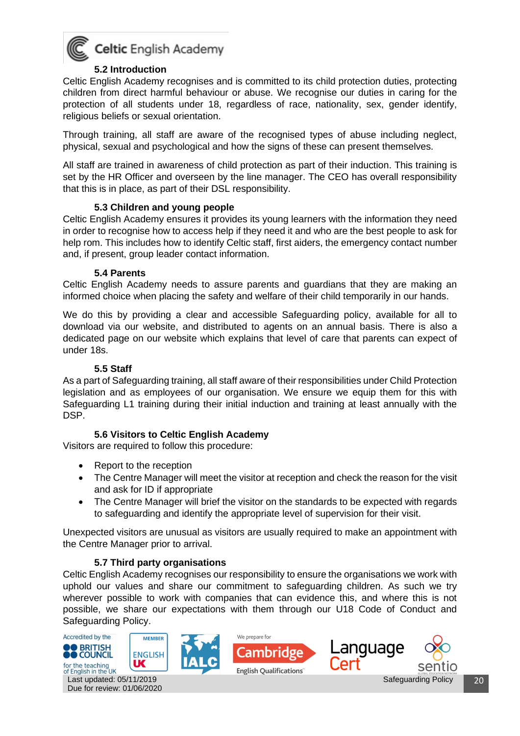

#### **5.2 Introduction**

<span id="page-19-0"></span>Celtic English Academy recognises and is committed to its child protection duties, protecting children from direct harmful behaviour or abuse. We recognise our duties in caring for the protection of all students under 18, regardless of race, nationality, sex, gender identify, religious beliefs or sexual orientation.

Through training, all staff are aware of the recognised types of abuse including neglect, physical, sexual and psychological and how the signs of these can present themselves.

All staff are trained in awareness of child protection as part of their induction. This training is set by the HR Officer and overseen by the line manager. The CEO has overall responsibility that this is in place, as part of their DSL responsibility.

#### **5.3 Children and young people**

<span id="page-19-1"></span>Celtic English Academy ensures it provides its young learners with the information they need in order to recognise how to access help if they need it and who are the best people to ask for help rom. This includes how to identify Celtic staff, first aiders, the emergency contact number and, if present, group leader contact information.

#### **5.4 Parents**

<span id="page-19-2"></span>Celtic English Academy needs to assure parents and guardians that they are making an informed choice when placing the safety and welfare of their child temporarily in our hands.

We do this by providing a clear and accessible Safeguarding policy, available for all to download via our website, and distributed to agents on an annual basis. There is also a dedicated page on our website which explains that level of care that parents can expect of under 18s.

#### **5.5 Staff**

<span id="page-19-3"></span>As a part of Safeguarding training, all staff aware of their responsibilities under Child Protection legislation and as employees of our organisation. We ensure we equip them for this with Safeguarding L1 training during their initial induction and training at least annually with the DSP.

#### **5.6 Visitors to Celtic English Academy**

<span id="page-19-4"></span>Visitors are required to follow this procedure:

- Report to the reception
- The Centre Manager will meet the visitor at reception and check the reason for the visit and ask for ID if appropriate
- The Centre Manager will brief the visitor on the standards to be expected with regards to safeguarding and identify the appropriate level of supervision for their visit.

Unexpected visitors are unusual as visitors are usually required to make an appointment with the Centre Manager prior to arrival.

#### **5.7 Third party organisations**

<span id="page-19-5"></span>Celtic English Academy recognises our responsibility to ensure the organisations we work with uphold our values and share our commitment to safeguarding children. As such we try wherever possible to work with companies that can evidence this, and where this is not possible, we share our expectations with them through our U18 Code of Conduct and Safeguarding Policy.

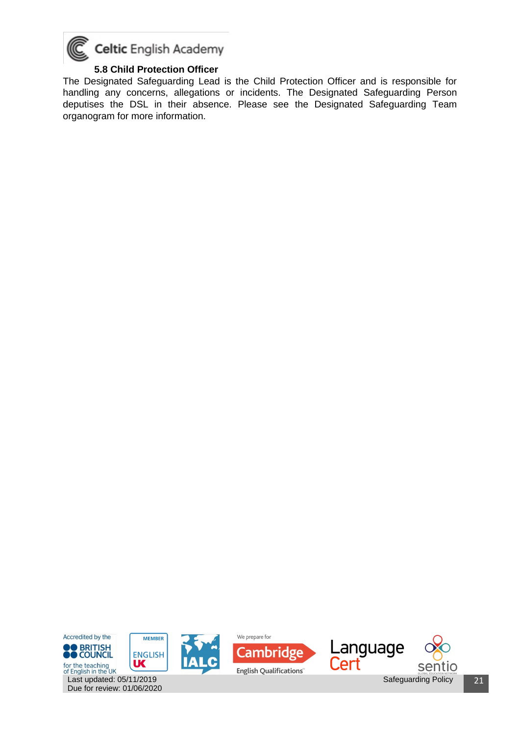

#### **5.8 Child Protection Officer**

<span id="page-20-0"></span>The Designated Safeguarding Lead is the Child Protection Officer and is responsible for handling any concerns, allegations or incidents. The Designated Safeguarding Person deputises the DSL in their absence. Please see the Designated Safeguarding Team organogram for more information.



Due for review: 01/06/2020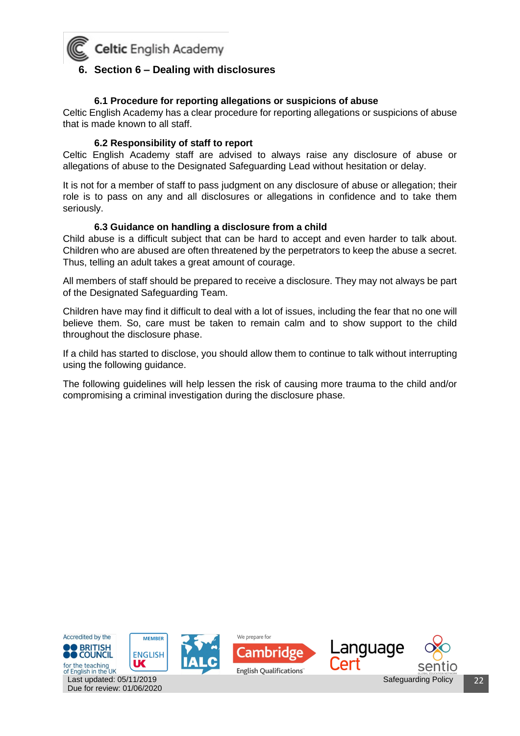<span id="page-21-0"></span>

#### **6.1 Procedure for reporting allegations or suspicions of abuse**

<span id="page-21-1"></span>Celtic English Academy has a clear procedure for reporting allegations or suspicions of abuse that is made known to all staff.

#### **6.2 Responsibility of staff to report**

<span id="page-21-2"></span>Celtic English Academy staff are advised to always raise any disclosure of abuse or allegations of abuse to the Designated Safeguarding Lead without hesitation or delay.

It is not for a member of staff to pass judgment on any disclosure of abuse or allegation; their role is to pass on any and all disclosures or allegations in confidence and to take them seriously.

#### **6.3 Guidance on handling a disclosure from a child**

<span id="page-21-3"></span>Child abuse is a difficult subject that can be hard to accept and even harder to talk about. Children who are abused are often threatened by the perpetrators to keep the abuse a secret. Thus, telling an adult takes a great amount of courage.

All members of staff should be prepared to receive a disclosure. They may not always be part of the Designated Safeguarding Team.

Children have may find it difficult to deal with a lot of issues, including the fear that no one will believe them. So, care must be taken to remain calm and to show support to the child throughout the disclosure phase.

If a child has started to disclose, you should allow them to continue to talk without interrupting using the following guidance.

The following guidelines will help lessen the risk of causing more trauma to the child and/or compromising a criminal investigation during the disclosure phase.

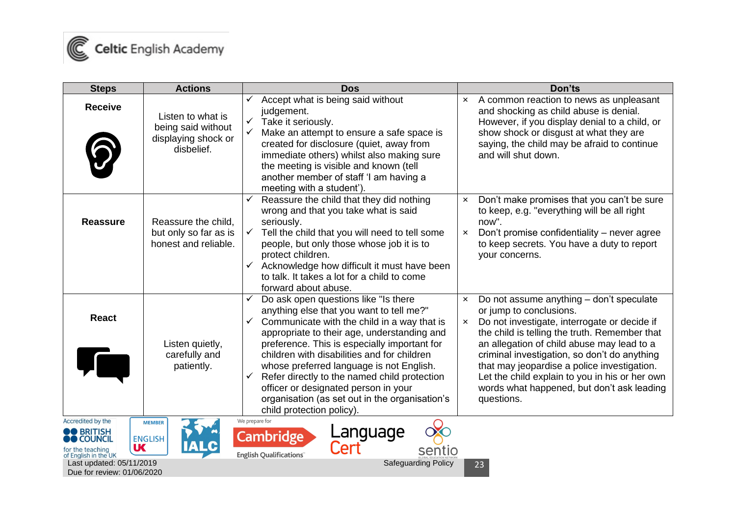

| <b>Steps</b>                                                                                                                                                                  | <b>Actions</b>                                                               | <b>Dos</b>                                                                                                                                                                                                                                                                                                                                                                                                                                                                                                 | Don'ts                                                                                                                                                                                                                                                                                                                                                                                                                                                                                    |
|-------------------------------------------------------------------------------------------------------------------------------------------------------------------------------|------------------------------------------------------------------------------|------------------------------------------------------------------------------------------------------------------------------------------------------------------------------------------------------------------------------------------------------------------------------------------------------------------------------------------------------------------------------------------------------------------------------------------------------------------------------------------------------------|-------------------------------------------------------------------------------------------------------------------------------------------------------------------------------------------------------------------------------------------------------------------------------------------------------------------------------------------------------------------------------------------------------------------------------------------------------------------------------------------|
| <b>Receive</b>                                                                                                                                                                | Listen to what is<br>being said without<br>displaying shock or<br>disbelief. | Accept what is being said without<br>judgement.<br>$\checkmark$<br>Take it seriously.<br>$\checkmark$<br>Make an attempt to ensure a safe space is<br>created for disclosure (quiet, away from<br>immediate others) whilst also making sure<br>the meeting is visible and known (tell<br>another member of staff 'I am having a<br>meeting with a student').                                                                                                                                               | A common reaction to news as unpleasant<br>$\boldsymbol{\mathsf{x}}$<br>and shocking as child abuse is denial.<br>However, if you display denial to a child, or<br>show shock or disgust at what they are<br>saying, the child may be afraid to continue<br>and will shut down.                                                                                                                                                                                                           |
| <b>Reassure</b>                                                                                                                                                               | Reassure the child,<br>but only so far as is<br>honest and reliable.         | Reassure the child that they did nothing<br>wrong and that you take what is said<br>seriously.<br>Tell the child that you will need to tell some<br>$\checkmark$<br>people, but only those whose job it is to<br>protect children.<br>Acknowledge how difficult it must have been<br>to talk. It takes a lot for a child to come<br>forward about abuse.                                                                                                                                                   | Don't make promises that you can't be sure<br>$\boldsymbol{\mathsf{x}}$<br>to keep, e.g. "everything will be all right<br>now".<br>Don't promise confidentiality – never agree<br>$\boldsymbol{\mathsf{x}}$<br>to keep secrets. You have a duty to report<br>your concerns.                                                                                                                                                                                                               |
| <b>React</b>                                                                                                                                                                  | Listen quietly,<br>carefully and<br>patiently.                               | Do ask open questions like "Is there<br>anything else that you want to tell me?"<br>Communicate with the child in a way that is<br>✓<br>appropriate to their age, understanding and<br>preference. This is especially important for<br>children with disabilities and for children<br>whose preferred language is not English.<br>Refer directly to the named child protection<br>✓<br>officer or designated person in your<br>organisation (as set out in the organisation's<br>child protection policy). | Do not assume anything - don't speculate<br>$\boldsymbol{\mathsf{x}}$<br>or jump to conclusions.<br>Do not investigate, interrogate or decide if<br>$\boldsymbol{\mathsf{x}}$<br>the child is telling the truth. Remember that<br>an allegation of child abuse may lead to a<br>criminal investigation, so don't do anything<br>that may jeopardise a police investigation.<br>Let the child explain to you in his or her own<br>words what happened, but don't ask leading<br>questions. |
| Accredited by the<br><b>OO</b> BRITISH<br><b>D</b> COUNCIL<br><b>UK</b><br>for the teaching<br>of English in the UK<br>Last updated: 05/11/2019<br>Due for review: 01/06/2020 | <b>MEMBER</b><br><b>ENGLISH</b>                                              | We prepare for<br>Language<br>Cert<br><b>Cambridge</b><br>sentio<br><b>English Qualifications</b><br><b>Safeguarding Policy</b>                                                                                                                                                                                                                                                                                                                                                                            | 23                                                                                                                                                                                                                                                                                                                                                                                                                                                                                        |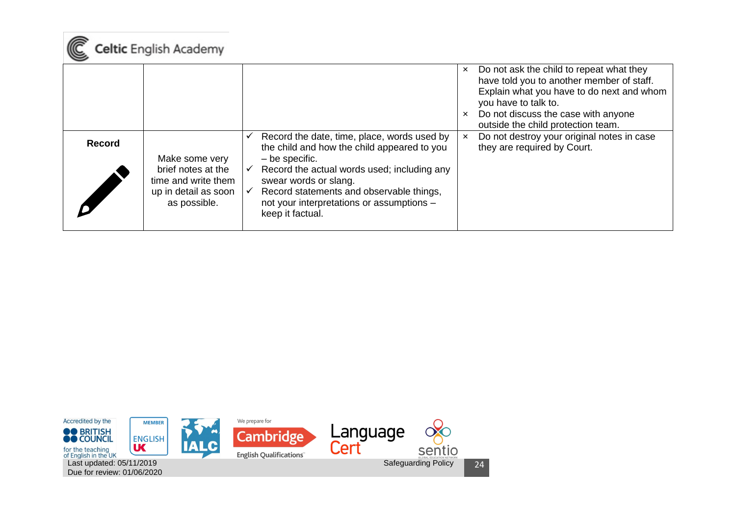

|               |                                                                                                     |                                              |                                                                                                                                                                                                                                                                                                     | $\boldsymbol{\mathsf{x}}$<br>$\mathsf{x}$ | Do not ask the child to repeat what they<br>have told you to another member of staff.<br>Explain what you have to do next and whom<br>you have to talk to.<br>Do not discuss the case with anyone<br>outside the child protection team. |
|---------------|-----------------------------------------------------------------------------------------------------|----------------------------------------------|-----------------------------------------------------------------------------------------------------------------------------------------------------------------------------------------------------------------------------------------------------------------------------------------------------|-------------------------------------------|-----------------------------------------------------------------------------------------------------------------------------------------------------------------------------------------------------------------------------------------|
| <b>Record</b> | Make some very<br>brief notes at the<br>time and write them<br>up in detail as soon<br>as possible. | $\checkmark$<br>$\checkmark$<br>$\checkmark$ | Record the date, time, place, words used by<br>the child and how the child appeared to you<br>$-$ be specific.<br>Record the actual words used; including any<br>swear words or slang.<br>Record statements and observable things,<br>not your interpretations or assumptions -<br>keep it factual. | $\times$                                  | Do not destroy your original notes in case<br>they are required by Court.                                                                                                                                                               |

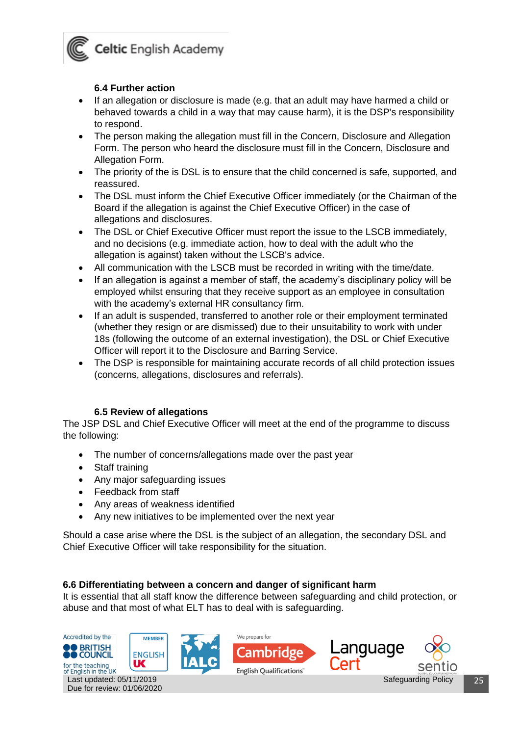

#### **6.4 Further action**

- <span id="page-24-0"></span>If an allegation or disclosure is made (e.g. that an adult may have harmed a child or behaved towards a child in a way that may cause harm), it is the DSP's responsibility to respond.
- The person making the allegation must fill in the Concern, Disclosure and Allegation Form. The person who heard the disclosure must fill in the Concern, Disclosure and Allegation Form.
- The priority of the is DSL is to ensure that the child concerned is safe, supported, and reassured.
- The DSL must inform the Chief Executive Officer immediately (or the Chairman of the Board if the allegation is against the Chief Executive Officer) in the case of allegations and disclosures.
- The DSL or Chief Executive Officer must report the issue to the LSCB immediately, and no decisions (e.g. immediate action, how to deal with the adult who the allegation is against) taken without the LSCB's advice.
- All communication with the LSCB must be recorded in writing with the time/date.
- If an allegation is against a member of staff, the academy's disciplinary policy will be employed whilst ensuring that they receive support as an employee in consultation with the academy's external HR consultancy firm.
- If an adult is suspended, transferred to another role or their employment terminated (whether they resign or are dismissed) due to their unsuitability to work with under 18s (following the outcome of an external investigation), the DSL or Chief Executive Officer will report it to the Disclosure and Barring Service.
- The DSP is responsible for maintaining accurate records of all child protection issues (concerns, allegations, disclosures and referrals).

#### **6.5 Review of allegations**

<span id="page-24-1"></span>The JSP DSL and Chief Executive Officer will meet at the end of the programme to discuss the following:

- The number of concerns/allegations made over the past year
- Staff training
- Any major safeguarding issues
- Feedback from staff
- Any areas of weakness identified
- Any new initiatives to be implemented over the next year

Should a case arise where the DSL is the subject of an allegation, the secondary DSL and Chief Executive Officer will take responsibility for the situation.

#### <span id="page-24-2"></span>**6.6 Differentiating between a concern and danger of significant harm**

It is essential that all staff know the difference between safeguarding and child protection, or abuse and that most of what ELT has to deal with is safeguarding.

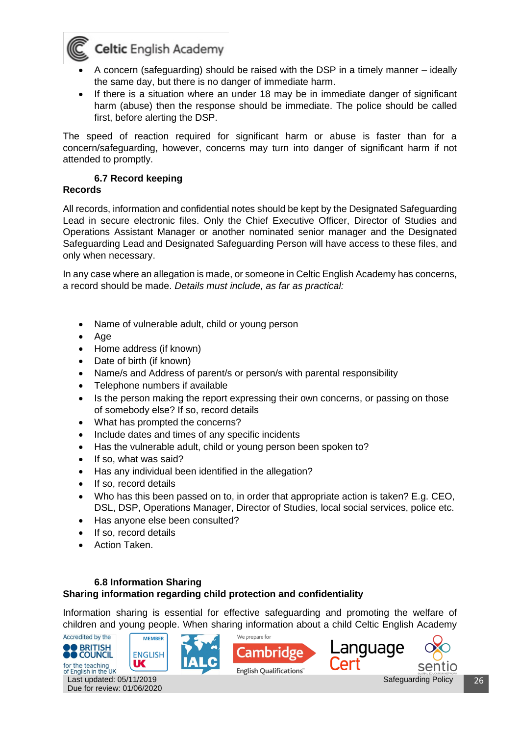

- A concern (safeguarding) should be raised with the DSP in a timely manner ideally the same day, but there is no danger of immediate harm.
- If there is a situation where an under 18 may be in immediate danger of significant harm (abuse) then the response should be immediate. The police should be called first, before alerting the DSP.

The speed of reaction required for significant harm or abuse is faster than for a concern/safeguarding, however, concerns may turn into danger of significant harm if not attended to promptly.

#### **6.7 Record keeping**

#### <span id="page-25-0"></span>**Records**

All records, information and confidential notes should be kept by the Designated Safeguarding Lead in secure electronic files. Only the Chief Executive Officer, Director of Studies and Operations Assistant Manager or another nominated senior manager and the Designated Safeguarding Lead and Designated Safeguarding Person will have access to these files, and only when necessary.

In any case where an allegation is made, or someone in Celtic English Academy has concerns, a record should be made. *Details must include, as far as practical:* 

- Name of vulnerable adult, child or young person
- Age
- Home address (if known)
- Date of birth (if known)
- Name/s and Address of parent/s or person/s with parental responsibility
- Telephone numbers if available
- Is the person making the report expressing their own concerns, or passing on those of somebody else? If so, record details
- What has prompted the concerns?
- Include dates and times of any specific incidents
- Has the vulnerable adult, child or young person been spoken to?
- If so, what was said?
- Has any individual been identified in the allegation?
- If so, record details
- Who has this been passed on to, in order that appropriate action is taken? E.g. CEO, DSL, DSP, Operations Manager, Director of Studies, local social services, police etc.
- Has anyone else been consulted?
- If so, record details
- Action Taken.

Due for review: 01/06/2020

#### <span id="page-25-1"></span>**6.8 Information Sharing Sharing information regarding child protection and confidentiality**

Information sharing is essential for effective safeguarding and promoting the welfare of children and young people. When sharing information about a child Celtic English Academy

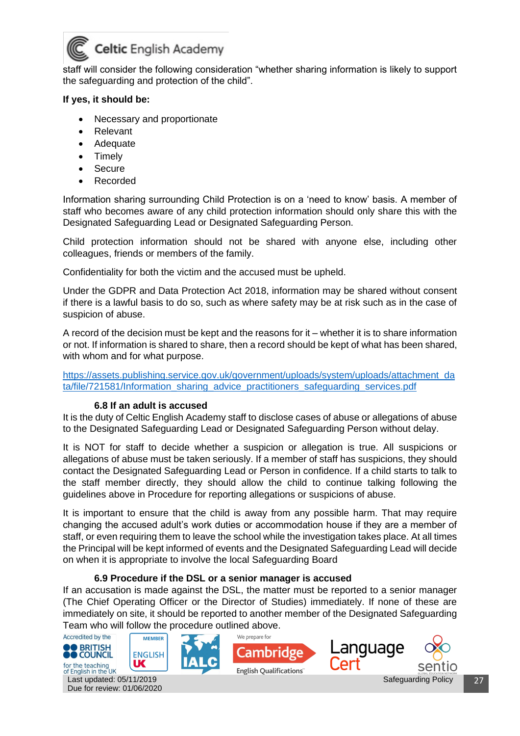

staff will consider the following consideration "whether sharing information is likely to support the safeguarding and protection of the child".

#### **If yes, it should be:**

- Necessary and proportionate
- Relevant
- Adequate
- Timely
- Secure
- Recorded

Information sharing surrounding Child Protection is on a 'need to know' basis. A member of staff who becomes aware of any child protection information should only share this with the Designated Safeguarding Lead or Designated Safeguarding Person.

Child protection information should not be shared with anyone else, including other colleagues, friends or members of the family.

Confidentiality for both the victim and the accused must be upheld.

Under the GDPR and Data Protection Act 2018, information may be shared without consent if there is a lawful basis to do so, such as where safety may be at risk such as in the case of suspicion of abuse.

A record of the decision must be kept and the reasons for it – whether it is to share information or not. If information is shared to share, then a record should be kept of what has been shared, with whom and for what purpose.

[https://assets.publishing.service.gov.uk/government/uploads/system/uploads/attachment\\_da](https://assets.publishing.service.gov.uk/government/uploads/system/uploads/attachment_data/file/721581/Information_sharing_advice_practitioners_safeguarding_services.pdf) [ta/file/721581/Information\\_sharing\\_advice\\_practitioners\\_safeguarding\\_services.pdf](https://assets.publishing.service.gov.uk/government/uploads/system/uploads/attachment_data/file/721581/Information_sharing_advice_practitioners_safeguarding_services.pdf)

#### **6.8 If an adult is accused**

<span id="page-26-0"></span>It is the duty of Celtic English Academy staff to disclose cases of abuse or allegations of abuse to the Designated Safeguarding Lead or Designated Safeguarding Person without delay.

It is NOT for staff to decide whether a suspicion or allegation is true. All suspicions or allegations of abuse must be taken seriously. If a member of staff has suspicions, they should contact the Designated Safeguarding Lead or Person in confidence. If a child starts to talk to the staff member directly, they should allow the child to continue talking following the guidelines above in Procedure for reporting allegations or suspicions of abuse.

It is important to ensure that the child is away from any possible harm. That may require changing the accused adult's work duties or accommodation house if they are a member of staff, or even requiring them to leave the school while the investigation takes place. At all times the Principal will be kept informed of events and the Designated Safeguarding Lead will decide on when it is appropriate to involve the local Safeguarding Board

#### **6.9 Procedure if the DSL or a senior manager is accused**

<span id="page-26-1"></span>If an accusation is made against the DSL, the matter must be reported to a senior manager (The Chief Operating Officer or the Director of Studies) immediately. If none of these are immediately on site, it should be reported to another member of the Designated Safeguarding Team who will follow the procedure outlined above.

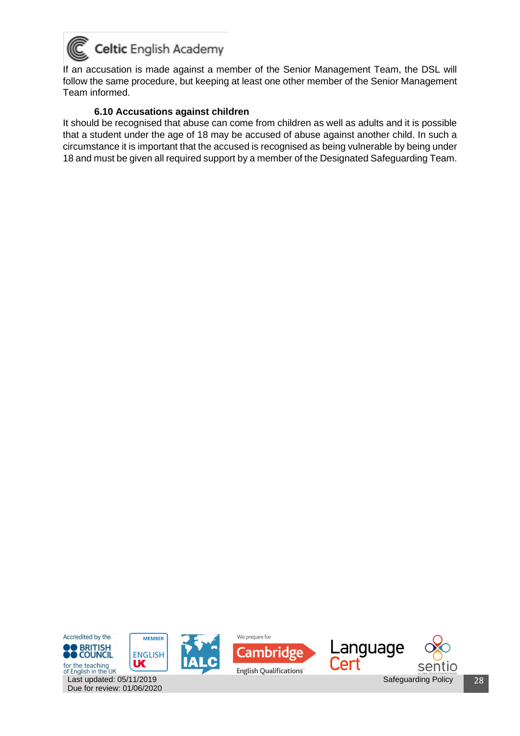

If an accusation is made against a member of the Senior Management Team, the DSL will follow the same procedure, but keeping at least one other member of the Senior Management Team informed.

#### **6.10 Accusations against children**

<span id="page-27-0"></span>It should be recognised that abuse can come from children as well as adults and it is possible that a student under the age of 18 may be accused of abuse against another child. In such a circumstance it is important that the accused is recognised as being vulnerable by being under 18 and must be given all required support by a member of the Designated Safeguarding Team.

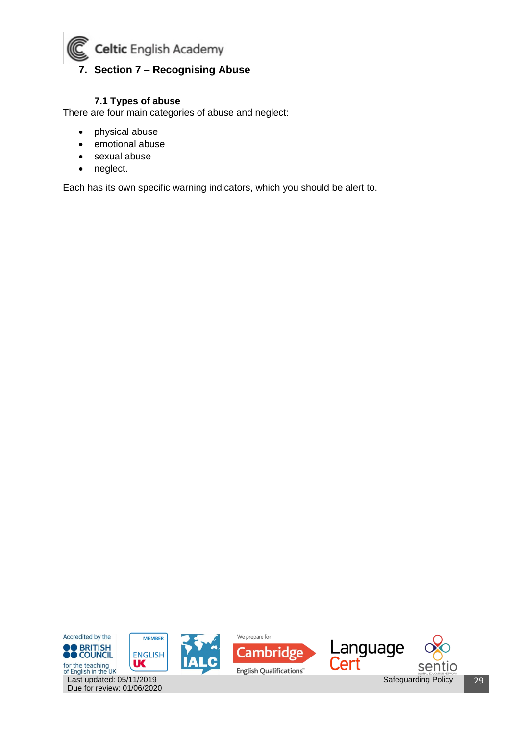<span id="page-28-0"></span>

#### **7.1 Types of abuse**

<span id="page-28-1"></span>There are four main categories of abuse and neglect:

- physical abuse
- emotional abuse
- sexual abuse
- neglect.

Each has its own specific warning indicators, which you should be alert to.

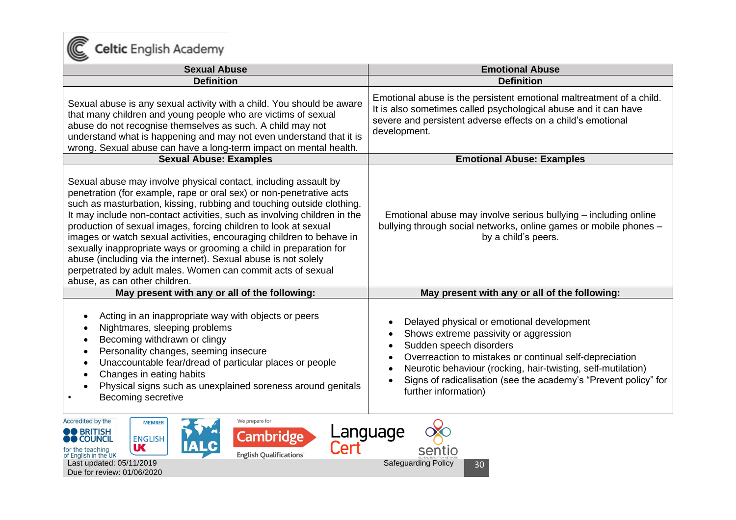

| <b>Sexual Abuse</b>                                                                                                                                                                                                                                                                                                                                                                                                                                                                                                                                                                                                                                                            | <b>Emotional Abuse</b>                                                                                                                                                                                                                                                                                                              |
|--------------------------------------------------------------------------------------------------------------------------------------------------------------------------------------------------------------------------------------------------------------------------------------------------------------------------------------------------------------------------------------------------------------------------------------------------------------------------------------------------------------------------------------------------------------------------------------------------------------------------------------------------------------------------------|-------------------------------------------------------------------------------------------------------------------------------------------------------------------------------------------------------------------------------------------------------------------------------------------------------------------------------------|
| <b>Definition</b>                                                                                                                                                                                                                                                                                                                                                                                                                                                                                                                                                                                                                                                              | <b>Definition</b>                                                                                                                                                                                                                                                                                                                   |
| Sexual abuse is any sexual activity with a child. You should be aware<br>that many children and young people who are victims of sexual<br>abuse do not recognise themselves as such. A child may not<br>understand what is happening and may not even understand that it is<br>wrong. Sexual abuse can have a long-term impact on mental health.                                                                                                                                                                                                                                                                                                                               | Emotional abuse is the persistent emotional maltreatment of a child.<br>It is also sometimes called psychological abuse and it can have<br>severe and persistent adverse effects on a child's emotional<br>development.                                                                                                             |
| <b>Sexual Abuse: Examples</b>                                                                                                                                                                                                                                                                                                                                                                                                                                                                                                                                                                                                                                                  | <b>Emotional Abuse: Examples</b>                                                                                                                                                                                                                                                                                                    |
| Sexual abuse may involve physical contact, including assault by<br>penetration (for example, rape or oral sex) or non-penetrative acts<br>such as masturbation, kissing, rubbing and touching outside clothing.<br>It may include non-contact activities, such as involving children in the<br>production of sexual images, forcing children to look at sexual<br>images or watch sexual activities, encouraging children to behave in<br>sexually inappropriate ways or grooming a child in preparation for<br>abuse (including via the internet). Sexual abuse is not solely<br>perpetrated by adult males. Women can commit acts of sexual<br>abuse, as can other children. | Emotional abuse may involve serious bullying – including online<br>bullying through social networks, online games or mobile phones -<br>by a child's peers.                                                                                                                                                                         |
| May present with any or all of the following:                                                                                                                                                                                                                                                                                                                                                                                                                                                                                                                                                                                                                                  | May present with any or all of the following:                                                                                                                                                                                                                                                                                       |
| Acting in an inappropriate way with objects or peers<br>Nightmares, sleeping problems<br>Becoming withdrawn or clingy<br>Personality changes, seeming insecure<br>Unaccountable fear/dread of particular places or people<br>Changes in eating habits<br>Physical signs such as unexplained soreness around genitals<br>Becoming secretive                                                                                                                                                                                                                                                                                                                                     | Delayed physical or emotional development<br>Shows extreme passivity or aggression<br>Sudden speech disorders<br>Overreaction to mistakes or continual self-depreciation<br>Neurotic behaviour (rocking, hair-twisting, self-mutilation)<br>Signs of radicalisation (see the academy's "Prevent policy" for<br>further information) |

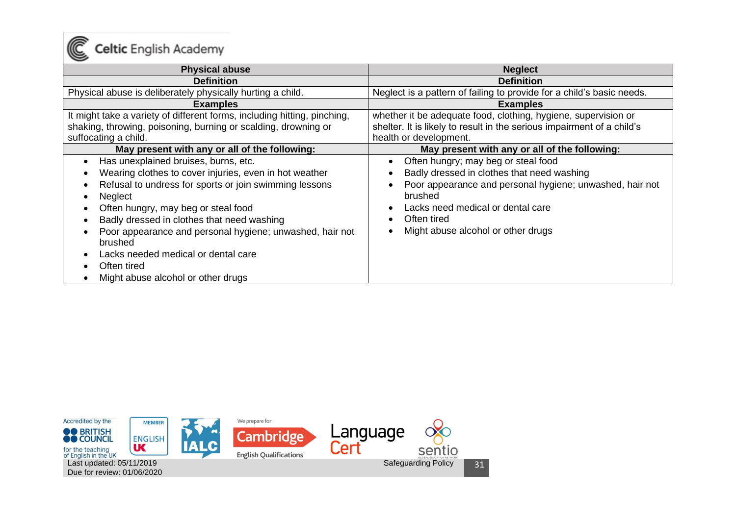

| <b>Physical abuse</b>                                                    | <b>Neglect</b>                                                         |
|--------------------------------------------------------------------------|------------------------------------------------------------------------|
| <b>Definition</b>                                                        | <b>Definition</b>                                                      |
| Physical abuse is deliberately physically hurting a child.               | Neglect is a pattern of failing to provide for a child's basic needs.  |
| <b>Examples</b>                                                          | <b>Examples</b>                                                        |
| It might take a variety of different forms, including hitting, pinching, | whether it be adequate food, clothing, hygiene, supervision or         |
| shaking, throwing, poisoning, burning or scalding, drowning or           | shelter. It is likely to result in the serious impairment of a child's |
| suffocating a child.                                                     | health or development.                                                 |
| May present with any or all of the following:                            | May present with any or all of the following:                          |
| Has unexplained bruises, burns, etc.                                     | Often hungry; may beg or steal food                                    |
| Wearing clothes to cover injuries, even in hot weather                   | Badly dressed in clothes that need washing                             |
| Refusal to undress for sports or join swimming lessons                   | Poor appearance and personal hygiene; unwashed, hair not               |
| <b>Neglect</b>                                                           | brushed                                                                |
| Often hungry, may beg or steal food                                      | Lacks need medical or dental care                                      |
| Badly dressed in clothes that need washing                               | Often tired                                                            |
| Poor appearance and personal hygiene; unwashed, hair not<br>brushed      | Might abuse alcohol or other drugs                                     |
| Lacks needed medical or dental care                                      |                                                                        |
| Often tired                                                              |                                                                        |
| Might abuse alcohol or other drugs                                       |                                                                        |

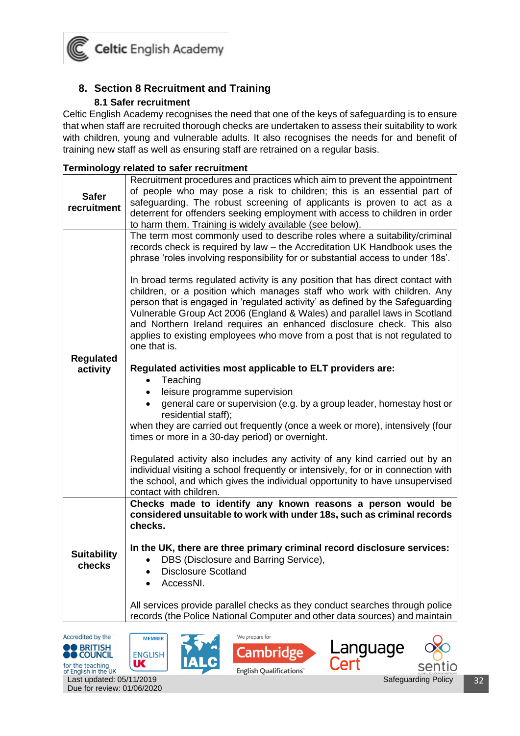

#### <span id="page-31-0"></span>**8. Section 8 Recruitment and Training 8.1 Safer recruitment**

<span id="page-31-1"></span>Celtic English Academy recognises the need that one of the keys of safeguarding is to ensure that when staff are recruited thorough checks are undertaken to assess their suitability to work with children, young and vulnerable adults. It also recognises the needs for and benefit of training new staff as well as ensuring staff are retrained on a regular basis.

| Terminology related to safer recruitment |  |  |
|------------------------------------------|--|--|
|                                          |  |  |

|                              | Recruitment procedures and practices which aim to prevent the appointment                                                                                                                                                                                                                                                                                                                                                                                                                                                                                                                                                                                                                                                                     |  |  |
|------------------------------|-----------------------------------------------------------------------------------------------------------------------------------------------------------------------------------------------------------------------------------------------------------------------------------------------------------------------------------------------------------------------------------------------------------------------------------------------------------------------------------------------------------------------------------------------------------------------------------------------------------------------------------------------------------------------------------------------------------------------------------------------|--|--|
| <b>Safer</b><br>recruitment  | of people who may pose a risk to children; this is an essential part of<br>safeguarding. The robust screening of applicants is proven to act as a<br>deterrent for offenders seeking employment with access to children in order<br>to harm them. Training is widely available (see below).                                                                                                                                                                                                                                                                                                                                                                                                                                                   |  |  |
| <b>Regulated</b>             | The term most commonly used to describe roles where a suitability/criminal<br>records check is required by law - the Accreditation UK Handbook uses the<br>phrase 'roles involving responsibility for or substantial access to under 18s'.<br>In broad terms regulated activity is any position that has direct contact with<br>children, or a position which manages staff who work with children. Any<br>person that is engaged in 'regulated activity' as defined by the Safeguarding<br>Vulnerable Group Act 2006 (England & Wales) and parallel laws in Scotland<br>and Northern Ireland requires an enhanced disclosure check. This also<br>applies to existing employees who move from a post that is not regulated to<br>one that is. |  |  |
| activity                     | Regulated activities most applicable to ELT providers are:<br>Teaching<br>$\bullet$<br>leisure programme supervision<br>general care or supervision (e.g. by a group leader, homestay host or<br>residential staff);<br>when they are carried out frequently (once a week or more), intensively (four<br>times or more in a 30-day period) or overnight.<br>Regulated activity also includes any activity of any kind carried out by an                                                                                                                                                                                                                                                                                                       |  |  |
|                              | individual visiting a school frequently or intensively, for or in connection with<br>the school, and which gives the individual opportunity to have unsupervised<br>contact with children.<br>Checks made to identify any known reasons a person would be                                                                                                                                                                                                                                                                                                                                                                                                                                                                                     |  |  |
|                              | considered unsuitable to work with under 18s, such as criminal records<br>checks.                                                                                                                                                                                                                                                                                                                                                                                                                                                                                                                                                                                                                                                             |  |  |
| <b>Suitability</b><br>checks | In the UK, there are three primary criminal record disclosure services:<br>DBS (Disclosure and Barring Service),<br>$\bullet$<br><b>Disclosure Scotland</b><br>AccessNI.                                                                                                                                                                                                                                                                                                                                                                                                                                                                                                                                                                      |  |  |
|                              | All services provide parallel checks as they conduct searches through police<br>records (the Police National Computer and other data sources) and maintain                                                                                                                                                                                                                                                                                                                                                                                                                                                                                                                                                                                    |  |  |









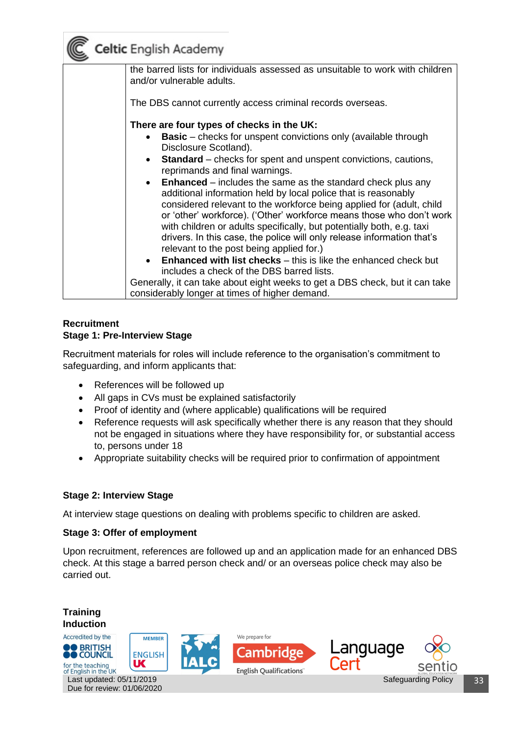

the barred lists for individuals assessed as unsuitable to work with children and/or vulnerable adults. The DBS cannot currently access criminal records overseas. **There are four types of checks in the UK:** • **Basic** – checks for unspent convictions only (available through Disclosure Scotland). **Standard** – checks for spent and unspent convictions, cautions, reprimands and final warnings. **Enhanced** – includes the same as the standard check plus any additional information held by local police that is reasonably considered relevant to the workforce being applied for (adult, child or 'other' workforce). ('Other' workforce means those who don't work with children or adults specifically, but potentially both, e.g. taxi drivers. In this case, the police will only release information that's relevant to the post being applied for.) **Enhanced with list checks** – this is like the enhanced check but includes a check of the DBS barred lists. Generally, it can take about eight weeks to get a DBS check, but it can take considerably longer at times of higher demand.

#### **Recruitment Stage 1: Pre-Interview Stage**

Recruitment materials for roles will include reference to the organisation's commitment to safeguarding, and inform applicants that:

- References will be followed up
- All gaps in CVs must be explained satisfactorily
- Proof of identity and (where applicable) qualifications will be required
- Reference requests will ask specifically whether there is any reason that they should not be engaged in situations where they have responsibility for, or substantial access to, persons under 18
- Appropriate suitability checks will be required prior to confirmation of appointment

#### **Stage 2: Interview Stage**

At interview stage questions on dealing with problems specific to children are asked.

#### **Stage 3: Offer of employment**

Upon recruitment, references are followed up and an application made for an enhanced DBS check. At this stage a barred person check and/ or an overseas police check may also be carried out.

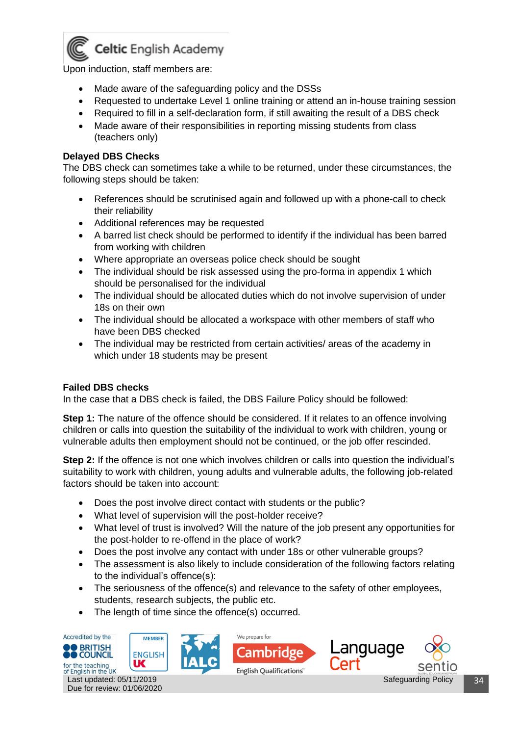

Upon induction, staff members are:

- Made aware of the safeguarding policy and the DSSs
- Requested to undertake Level 1 online training or attend an in-house training session
- Required to fill in a self-declaration form, if still awaiting the result of a DBS check
- Made aware of their responsibilities in reporting missing students from class (teachers only)

#### **Delayed DBS Checks**

The DBS check can sometimes take a while to be returned, under these circumstances, the following steps should be taken:

- References should be scrutinised again and followed up with a phone-call to check their reliability
- Additional references may be requested
- A barred list check should be performed to identify if the individual has been barred from working with children
- Where appropriate an overseas police check should be sought
- The individual should be risk assessed using the pro-forma in appendix 1 which should be personalised for the individual
- The individual should be allocated duties which do not involve supervision of under 18s on their own
- The individual should be allocated a workspace with other members of staff who have been DBS checked
- The individual may be restricted from certain activities/ areas of the academy in which under 18 students may be present

#### **Failed DBS checks**

Due for review: 01/06/2020

In the case that a DBS check is failed, the DBS Failure Policy should be followed:

**Step 1:** The nature of the offence should be considered. If it relates to an offence involving children or calls into question the suitability of the individual to work with children, young or vulnerable adults then employment should not be continued, or the job offer rescinded.

**Step 2:** If the offence is not one which involves children or calls into question the individual's suitability to work with children, young adults and vulnerable adults, the following job-related factors should be taken into account:

- Does the post involve direct contact with students or the public?
- What level of supervision will the post-holder receive?
- What level of trust is involved? Will the nature of the job present any opportunities for the post-holder to re-offend in the place of work?
- Does the post involve any contact with under 18s or other vulnerable groups?
- The assessment is also likely to include consideration of the following factors relating to the individual's offence(s):
- The seriousness of the offence(s) and relevance to the safety of other employees, students, research subjects, the public etc.
- The length of time since the offence(s) occurred.

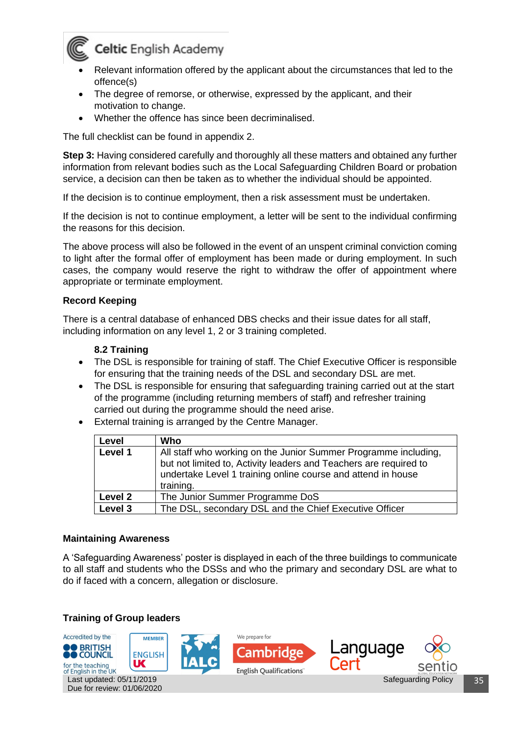

- Relevant information offered by the applicant about the circumstances that led to the offence(s)
- The degree of remorse, or otherwise, expressed by the applicant, and their motivation to change.
- Whether the offence has since been decriminalised.

The full checklist can be found in appendix 2.

**Step 3:** Having considered carefully and thoroughly all these matters and obtained any further information from relevant bodies such as the Local Safeguarding Children Board or probation service, a decision can then be taken as to whether the individual should be appointed.

If the decision is to continue employment, then a risk assessment must be undertaken.

If the decision is not to continue employment, a letter will be sent to the individual confirming the reasons for this decision.

The above process will also be followed in the event of an unspent criminal conviction coming to light after the formal offer of employment has been made or during employment. In such cases, the company would reserve the right to withdraw the offer of appointment where appropriate or terminate employment.

#### **Record Keeping**

There is a central database of enhanced DBS checks and their issue dates for all staff, including information on any level 1, 2 or 3 training completed.

#### **8.2 Training**

- <span id="page-34-0"></span>• The DSL is responsible for training of staff. The Chief Executive Officer is responsible for ensuring that the training needs of the DSL and secondary DSL are met.
- The DSL is responsible for ensuring that safeguarding training carried out at the start of the programme (including returning members of staff) and refresher training carried out during the programme should the need arise.
- External training is arranged by the Centre Manager.

| Level   | Who                                                                                                                                                                                                               |
|---------|-------------------------------------------------------------------------------------------------------------------------------------------------------------------------------------------------------------------|
| Level 1 | All staff who working on the Junior Summer Programme including,<br>but not limited to, Activity leaders and Teachers are required to<br>undertake Level 1 training online course and attend in house<br>training. |
| Level 2 | The Junior Summer Programme DoS                                                                                                                                                                                   |
| Level 3 | The DSL, secondary DSL and the Chief Executive Officer                                                                                                                                                            |

#### **Maintaining Awareness**

A 'Safeguarding Awareness' poster is displayed in each of the three buildings to communicate to all staff and students who the DSSs and who the primary and secondary DSL are what to do if faced with a concern, allegation or disclosure.

#### **Training of Group leaders**

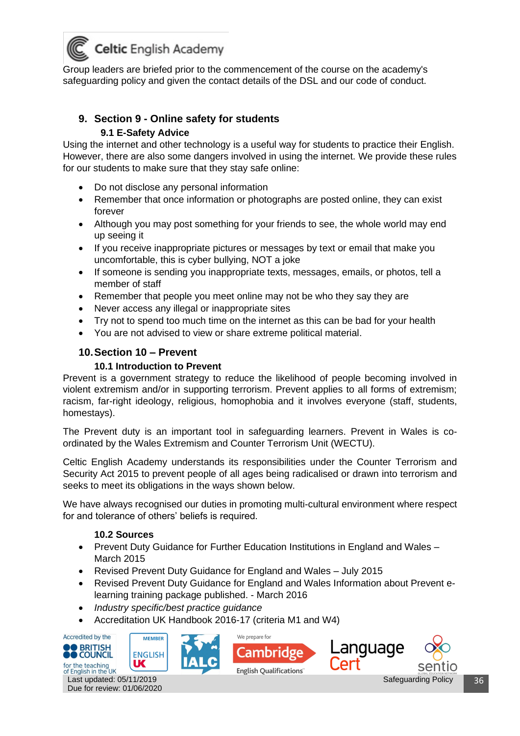

Group leaders are briefed prior to the commencement of the course on the academy's safeguarding policy and given the contact details of the DSL and our code of conduct.

#### <span id="page-35-0"></span>**9. Section 9 - Online safety for students 9.1 E-Safety Advice**

Using the internet and other technology is a useful way for students to practice their English. However, there are also some dangers involved in using the internet. We provide these rules for our students to make sure that they stay safe online:

- Do not disclose any personal information
- Remember that once information or photographs are posted online, they can exist forever
- Although you may post something for your friends to see, the whole world may end up seeing it
- If you receive inappropriate pictures or messages by text or email that make you uncomfortable, this is cyber bullying, NOT a joke
- If someone is sending you inappropriate texts, messages, emails, or photos, tell a member of staff
- Remember that people you meet online may not be who they say they are
- Never access any illegal or inappropriate sites
- Try not to spend too much time on the internet as this can be bad for your health
- You are not advised to view or share extreme political material.

#### <span id="page-35-1"></span>**10.Section 10 – Prevent**

#### **10.1 Introduction to Prevent**

<span id="page-35-2"></span>Prevent is a government strategy to reduce the likelihood of people becoming involved in violent extremism and/or in supporting terrorism. Prevent applies to all forms of extremism; racism, far-right ideology, religious, homophobia and it involves everyone (staff, students, homestays).

The Prevent duty is an important tool in safeguarding learners. Prevent in Wales is coordinated by the Wales Extremism and Counter Terrorism Unit (WECTU).

Celtic English Academy understands its responsibilities under the Counter Terrorism and Security Act 2015 to prevent people of all ages being radicalised or drawn into terrorism and seeks to meet its obligations in the ways shown below.

We have always recognised our duties in promoting multi-cultural environment where respect for and tolerance of others' beliefs is required.

#### **10.2 Sources**

- <span id="page-35-3"></span>• Prevent Duty Guidance for Further Education Institutions in England and Wales – March 2015
- Revised Prevent Duty Guidance for England and Wales July 2015
- Revised Prevent Duty Guidance for England and Wales Information about Prevent elearning training package published. - March 2016
- *Industry specific/best practice guidance*
- Accreditation UK Handbook 2016-17 (criteria M1 and W4)



Last updated: 05/11/2019 Due for review: 01/06/2020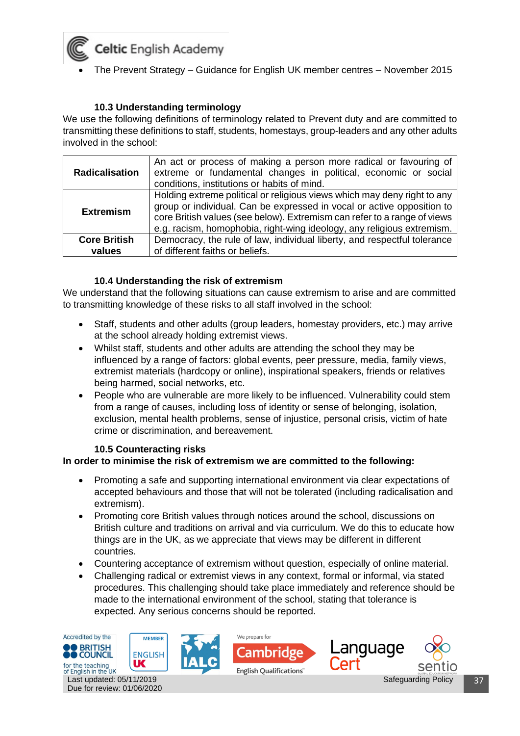• The Prevent Strategy – Guidance for English UK member centres – November 2015

#### **10.3 Understanding terminology**

<span id="page-36-0"></span>We use the following definitions of terminology related to Prevent duty and are committed to transmitting these definitions to staff, students, homestays, group-leaders and any other adults involved in the school:

| <b>Radicalisation</b> | An act or process of making a person more radical or favouring of<br>extreme or fundamental changes in political, economic or social<br>conditions, institutions or habits of mind.                                                                                                                      |
|-----------------------|----------------------------------------------------------------------------------------------------------------------------------------------------------------------------------------------------------------------------------------------------------------------------------------------------------|
| <b>Extremism</b>      | Holding extreme political or religious views which may deny right to any<br>group or individual. Can be expressed in vocal or active opposition to<br>core British values (see below). Extremism can refer to a range of views<br>e.g. racism, homophobia, right-wing ideology, any religious extremism. |
| <b>Core British</b>   | Democracy, the rule of law, individual liberty, and respectful tolerance                                                                                                                                                                                                                                 |
| values                | of different faiths or beliefs.                                                                                                                                                                                                                                                                          |

#### **10.4 Understanding the risk of extremism**

<span id="page-36-1"></span>We understand that the following situations can cause extremism to arise and are committed to transmitting knowledge of these risks to all staff involved in the school:

- Staff, students and other adults (group leaders, homestay providers, etc.) may arrive at the school already holding extremist views.
- Whilst staff, students and other adults are attending the school they may be influenced by a range of factors: global events, peer pressure, media, family views, extremist materials (hardcopy or online), inspirational speakers, friends or relatives being harmed, social networks, etc.
- People who are vulnerable are more likely to be influenced. Vulnerability could stem from a range of causes, including loss of identity or sense of belonging, isolation, exclusion, mental health problems, sense of injustice, personal crisis, victim of hate crime or discrimination, and bereavement.

#### **10.5 Counteracting risks**

#### <span id="page-36-2"></span>**In order to minimise the risk of extremism we are committed to the following:**

- Promoting a safe and supporting international environment via clear expectations of accepted behaviours and those that will not be tolerated (including radicalisation and extremism).
- Promoting core British values through notices around the school, discussions on British culture and traditions on arrival and via curriculum. We do this to educate how things are in the UK, as we appreciate that views may be different in different countries.
- Countering acceptance of extremism without question, especially of online material.
- Challenging radical or extremist views in any context, formal or informal, via stated procedures. This challenging should take place immediately and reference should be made to the international environment of the school, stating that tolerance is expected. Any serious concerns should be reported.

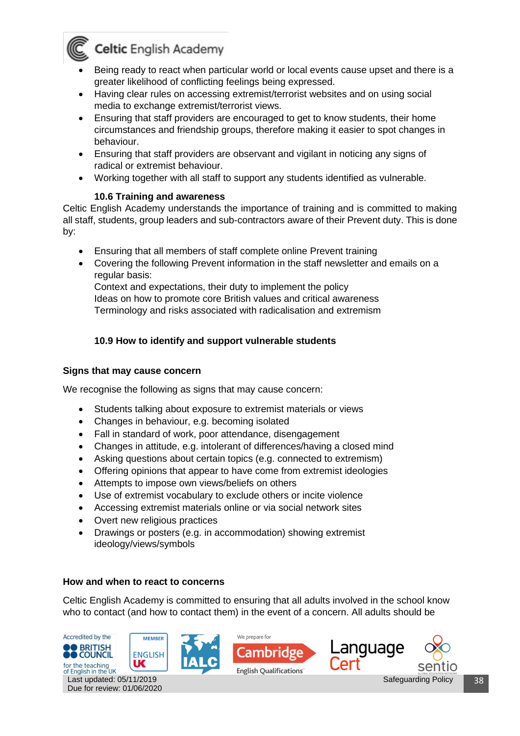

- Being ready to react when particular world or local events cause upset and there is a greater likelihood of conflicting feelings being expressed.
- Having clear rules on accessing extremist/terrorist websites and on using social media to exchange extremist/terrorist views.
- Ensuring that staff providers are encouraged to get to know students, their home circumstances and friendship groups, therefore making it easier to spot changes in behaviour.
- Ensuring that staff providers are observant and vigilant in noticing any signs of radical or extremist behaviour.
- Working together with all staff to support any students identified as vulnerable.

#### **10.6 Training and awareness**

<span id="page-37-0"></span>Celtic English Academy understands the importance of training and is committed to making all staff, students, group leaders and sub-contractors aware of their Prevent duty. This is done by:

- Ensuring that all members of staff complete online Prevent training
- Covering the following Prevent information in the staff newsletter and emails on a regular basis:

Context and expectations, their duty to implement the policy Ideas on how to promote core British values and critical awareness Terminology and risks associated with radicalisation and extremism

#### **10.9 How to identify and support vulnerable students**

#### <span id="page-37-1"></span>**Signs that may cause concern**

We recognise the following as signs that may cause concern:

- Students talking about exposure to extremist materials or views
- Changes in behaviour, e.g. becoming isolated
- Fall in standard of work, poor attendance, disengagement
- Changes in attitude, e.g. intolerant of differences/having a closed mind
- Asking questions about certain topics (e.g. connected to extremism)
- Offering opinions that appear to have come from extremist ideologies
- Attempts to impose own views/beliefs on others
- Use of extremist vocabulary to exclude others or incite violence
- Accessing extremist materials online or via social network sites
- Overt new religious practices
- Drawings or posters (e.g. in accommodation) showing extremist ideology/views/symbols

#### **How and when to react to concerns**

Celtic English Academy is committed to ensuring that all adults involved in the school know who to contact (and how to contact them) in the event of a concern. All adults should be

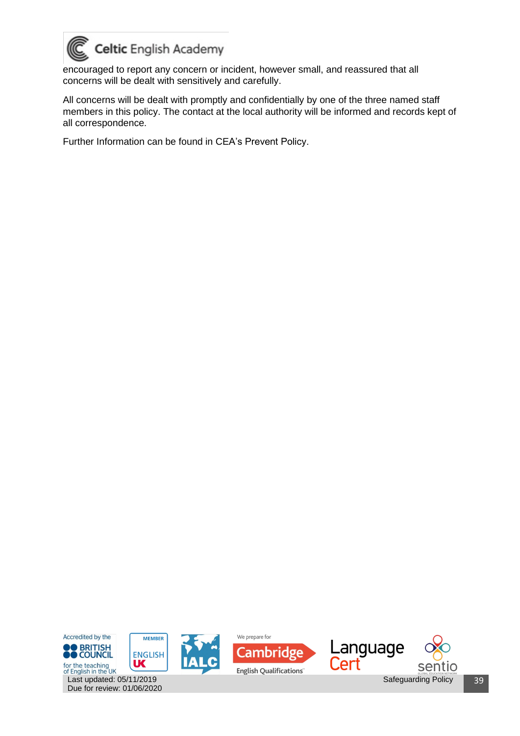

encouraged to report any concern or incident, however small, and reassured that all concerns will be dealt with sensitively and carefully.

All concerns will be dealt with promptly and confidentially by one of the three named staff members in this policy. The contact at the local authority will be informed and records kept of all correspondence.

Further Information can be found in CEA's Prevent Policy.

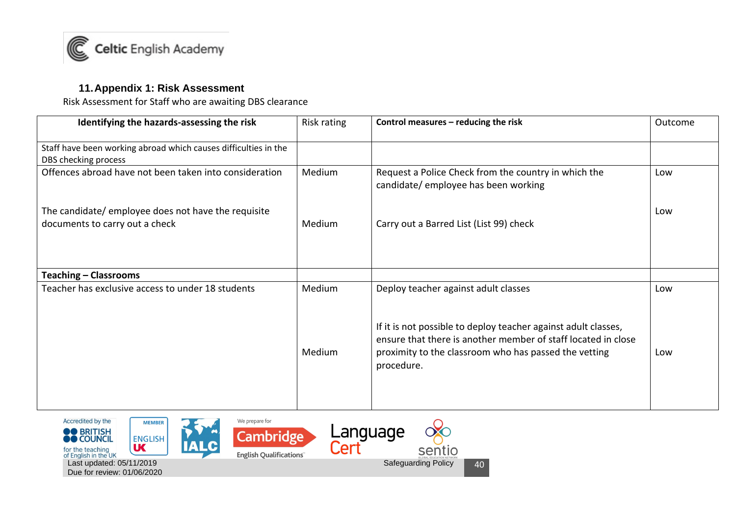

#### **11.Appendix 1: Risk Assessment**

Risk Assessment for Staff who are awaiting DBS clearance

| Identifying the hazards-assessing the risk                      | Risk rating | Control measures - reducing the risk                                                                                                                                                                   | Outcome |
|-----------------------------------------------------------------|-------------|--------------------------------------------------------------------------------------------------------------------------------------------------------------------------------------------------------|---------|
| Staff have been working abroad which causes difficulties in the |             |                                                                                                                                                                                                        |         |
| DBS checking process                                            |             |                                                                                                                                                                                                        |         |
| Offences abroad have not been taken into consideration          | Medium      | Request a Police Check from the country in which the<br>candidate/ employee has been working                                                                                                           | Low     |
| The candidate/ employee does not have the requisite             |             |                                                                                                                                                                                                        | Low     |
| documents to carry out a check                                  | Medium      | Carry out a Barred List (List 99) check                                                                                                                                                                |         |
| <b>Teaching - Classrooms</b>                                    |             |                                                                                                                                                                                                        |         |
| Teacher has exclusive access to under 18 students               | Medium      | Deploy teacher against adult classes                                                                                                                                                                   | Low     |
|                                                                 | Medium      | If it is not possible to deploy teacher against adult classes,<br>ensure that there is another member of staff located in close<br>proximity to the classroom who has passed the vetting<br>procedure. | Low     |

<span id="page-39-0"></span>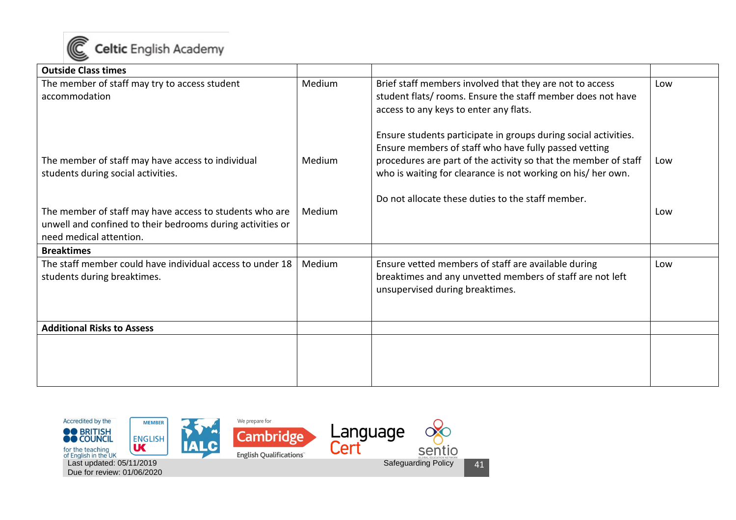

| <b>Outside Class times</b>                                                                                                                       |        |                                                                                                                                                                                                                                                             |     |
|--------------------------------------------------------------------------------------------------------------------------------------------------|--------|-------------------------------------------------------------------------------------------------------------------------------------------------------------------------------------------------------------------------------------------------------------|-----|
| The member of staff may try to access student<br>accommodation                                                                                   | Medium | Brief staff members involved that they are not to access<br>student flats/ rooms. Ensure the staff member does not have<br>access to any keys to enter any flats.                                                                                           | Low |
| The member of staff may have access to individual<br>students during social activities.                                                          | Medium | Ensure students participate in groups during social activities.<br>Ensure members of staff who have fully passed vetting<br>procedures are part of the activity so that the member of staff<br>who is waiting for clearance is not working on his/ her own. | Low |
| The member of staff may have access to students who are<br>unwell and confined to their bedrooms during activities or<br>need medical attention. | Medium | Do not allocate these duties to the staff member.                                                                                                                                                                                                           | Low |
| <b>Breaktimes</b>                                                                                                                                |        |                                                                                                                                                                                                                                                             |     |
| The staff member could have individual access to under 18<br>students during breaktimes.                                                         | Medium | Ensure vetted members of staff are available during<br>breaktimes and any unvetted members of staff are not left<br>unsupervised during breaktimes.                                                                                                         | Low |
| <b>Additional Risks to Assess</b>                                                                                                                |        |                                                                                                                                                                                                                                                             |     |
|                                                                                                                                                  |        |                                                                                                                                                                                                                                                             |     |

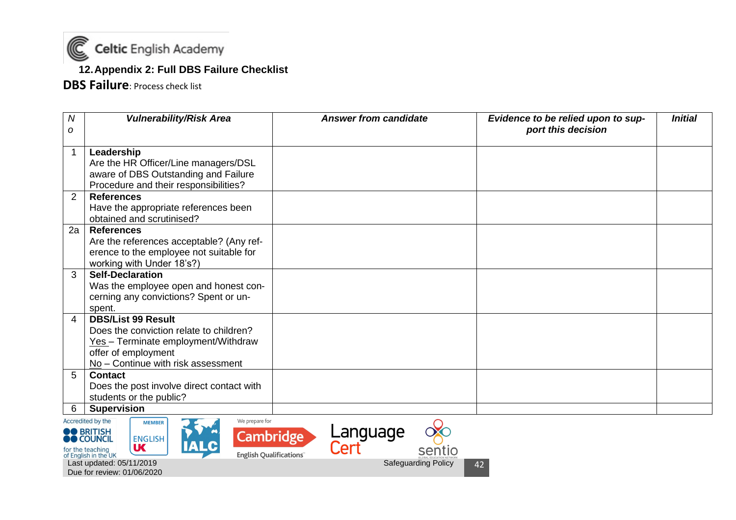

#### **12.Appendix 2: Full DBS Failure Checklist**

**DBS Failure**: Process check list

| $\boldsymbol{N}$ | <b>Vulnerability/Risk Area</b>                                                                                                                                           | <b>Answer from candidate</b> | Evidence to be relied upon to sup- | <b>Initial</b> |
|------------------|--------------------------------------------------------------------------------------------------------------------------------------------------------------------------|------------------------------|------------------------------------|----------------|
| ο                |                                                                                                                                                                          |                              | port this decision                 |                |
| $\mathbf 1$      | Leadership<br>Are the HR Officer/Line managers/DSL<br>aware of DBS Outstanding and Failure<br>Procedure and their responsibilities?                                      |                              |                                    |                |
| $\overline{2}$   | <b>References</b><br>Have the appropriate references been<br>obtained and scrutinised?                                                                                   |                              |                                    |                |
| 2a               | <b>References</b><br>Are the references acceptable? (Any ref-<br>erence to the employee not suitable for<br>working with Under 18's?)                                    |                              |                                    |                |
| $\mathbf{3}$     | <b>Self-Declaration</b><br>Was the employee open and honest con-<br>cerning any convictions? Spent or un-<br>spent.                                                      |                              |                                    |                |
| 4                | <b>DBS/List 99 Result</b><br>Does the conviction relate to children?<br>Yes - Terminate employment/Withdraw<br>offer of employment<br>No - Continue with risk assessment |                              |                                    |                |
| 5 <sup>5</sup>   | <b>Contact</b><br>Does the post involve direct contact with<br>students or the public?                                                                                   |                              |                                    |                |
| 6                | <b>Supervision</b><br>$\sim$ $\sim$ $\sim$ $\sim$ $\sim$ $\sim$ $\sim$<br>Accrodited by the                                                                              |                              |                                    |                |

<span id="page-41-0"></span>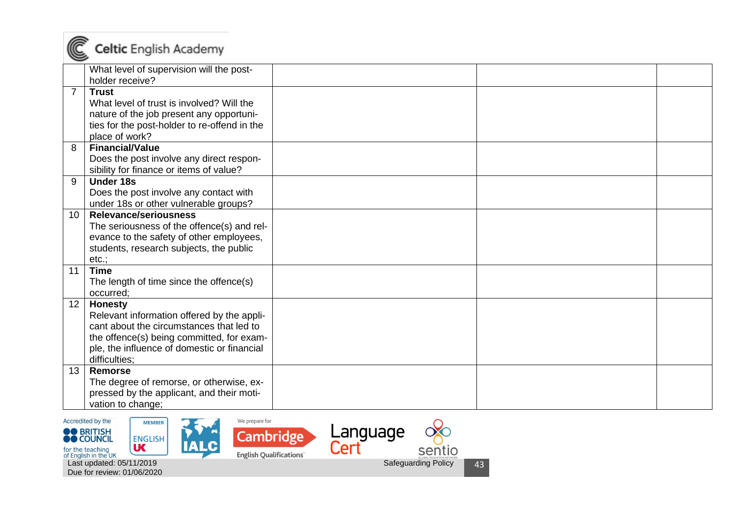

|                 | What level of supervision will the post-     |  |  |
|-----------------|----------------------------------------------|--|--|
|                 | holder receive?                              |  |  |
| $\overline{7}$  | <b>Trust</b>                                 |  |  |
|                 | What level of trust is involved? Will the    |  |  |
|                 | nature of the job present any opportuni-     |  |  |
|                 | ties for the post-holder to re-offend in the |  |  |
|                 | place of work?                               |  |  |
| 8               | <b>Financial/Value</b>                       |  |  |
|                 | Does the post involve any direct respon-     |  |  |
|                 | sibility for finance or items of value?      |  |  |
| 9               | <b>Under 18s</b>                             |  |  |
|                 | Does the post involve any contact with       |  |  |
|                 | under 18s or other vulnerable groups?        |  |  |
| 10              | Relevance/seriousness                        |  |  |
|                 | The seriousness of the offence(s) and rel-   |  |  |
|                 | evance to the safety of other employees,     |  |  |
|                 | students, research subjects, the public      |  |  |
|                 | $etc.$ ;                                     |  |  |
| 11              | <b>Time</b>                                  |  |  |
|                 | The length of time since the offence(s)      |  |  |
|                 | occurred;                                    |  |  |
| 12 <sup>°</sup> | <b>Honesty</b>                               |  |  |
|                 | Relevant information offered by the appli-   |  |  |
|                 | cant about the circumstances that led to     |  |  |
|                 | the offence(s) being committed, for exam-    |  |  |
|                 | ple, the influence of domestic or financial  |  |  |
|                 | difficulties:                                |  |  |
| 13              | <b>Remorse</b>                               |  |  |
|                 | The degree of remorse, or otherwise, ex-     |  |  |
|                 | pressed by the applicant, and their moti-    |  |  |
|                 | vation to change;                            |  |  |